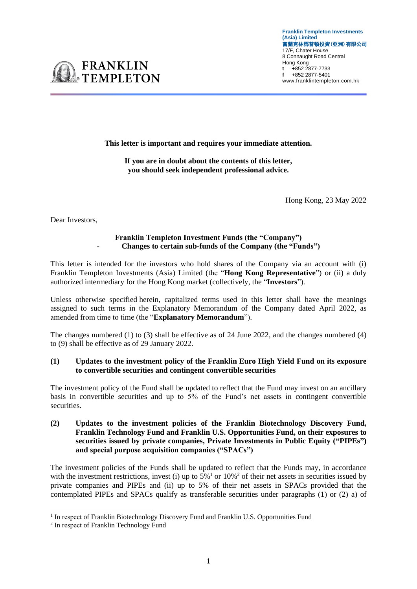

**This letter is important and requires your immediate attention.** 

**If you are in doubt about the contents of this letter, you should seek independent professional advice.**

Hong Kong, 23 May 2022

Dear Investors,

### **Franklin Templeton Investment Funds (the "Company")**  - **Changes to certain sub-funds of the Company (the "Funds")**

This letter is intended for the investors who hold shares of the Company via an account with (i) Franklin Templeton Investments (Asia) Limited (the "**Hong Kong Representative**") or (ii) a duly authorized intermediary for the Hong Kong market (collectively, the "**Investors**").

Unless otherwise specified herein, capitalized terms used in this letter shall have the meanings assigned to such terms in the Explanatory Memorandum of the Company dated April 2022, as amended from time to time (the "**Explanatory Memorandum**").

The changes numbered (1) to (3) shall be effective as of 24 June 2022, and the changes numbered (4) to (9) shall be effective as of 29 January 2022.

### **(1) Updates to the investment policy of the Franklin Euro High Yield Fund on its exposure to convertible securities and contingent convertible securities**

The investment policy of the Fund shall be updated to reflect that the Fund may invest on an ancillary basis in convertible securities and up to 5% of the Fund's net assets in contingent convertible securities.

**(2) Updates to the investment policies of the Franklin Biotechnology Discovery Fund, Franklin Technology Fund and Franklin U.S. Opportunities Fund, on their exposures to securities issued by private companies, Private Investments in Public Equity ("PIPEs") and special purpose acquisition companies ("SPACs")**

The investment policies of the Funds shall be updated to reflect that the Funds may, in accordance with the investment restrictions, invest (i) up to  $5\%$ <sup>1</sup> or  $10\%$ <sup>2</sup> of their net assets in securities issued by private companies and PIPEs and (ii) up to 5% of their net assets in SPACs provided that the contemplated PIPEs and SPACs qualify as transferable securities under paragraphs (1) or (2) a) of

<sup>&</sup>lt;sup>1</sup> In respect of Franklin Biotechnology Discovery Fund and Franklin U.S. Opportunities Fund

<sup>&</sup>lt;sup>2</sup> In respect of Franklin Technology Fund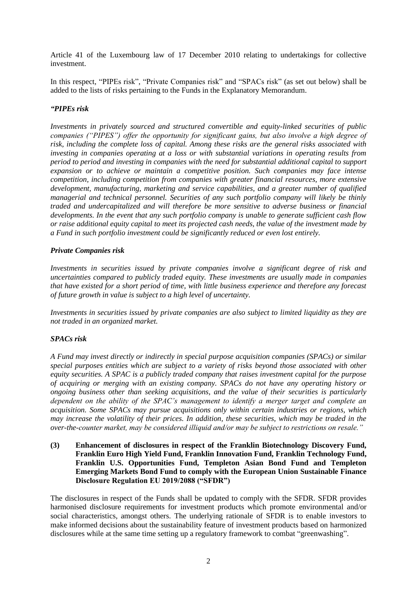Article 41 of the Luxembourg law of 17 December 2010 relating to undertakings for collective investment.

In this respect, "PIPEs risk", "Private Companies risk" and "SPACs risk" (as set out below) shall be added to the lists of risks pertaining to the Funds in the Explanatory Memorandum.

### *"PIPEs risk*

*Investments in privately sourced and structured convertible and equity-linked securities of public companies ("PIPES") offer the opportunity for significant gains, but also involve a high degree of risk, including the complete loss of capital. Among these risks are the general risks associated with investing in companies operating at a loss or with substantial variations in operating results from period to period and investing in companies with the need for substantial additional capital to support expansion or to achieve or maintain a competitive position. Such companies may face intense competition, including competition from companies with greater financial resources, more extensive development, manufacturing, marketing and service capabilities, and a greater number of qualified managerial and technical personnel. Securities of any such portfolio company will likely be thinly traded and undercapitalized and will therefore be more sensitive to adverse business or financial developments. In the event that any such portfolio company is unable to generate sufficient cash flow or raise additional equity capital to meet its projected cash needs, the value of the investment made by a Fund in such portfolio investment could be significantly reduced or even lost entirely.*

### *Private Companies risk*

*Investments in securities issued by private companies involve a significant degree of risk and uncertainties compared to publicly traded equity. These investments are usually made in companies that have existed for a short period of time, with little business experience and therefore any forecast of future growth in value is subject to a high level of uncertainty.*

*Investments in securities issued by private companies are also subject to limited liquidity as they are not traded in an organized market.*

## *SPACs risk*

*A Fund may invest directly or indirectly in special purpose acquisition companies (SPACs) or similar special purposes entities which are subject to a variety of risks beyond those associated with other equity securities. A SPAC is a publicly traded company that raises investment capital for the purpose of acquiring or merging with an existing company. SPACs do not have any operating history or ongoing business other than seeking acquisitions, and the value of their securities is particularly dependent on the ability of the SPAC's management to identify a merger target and complete an acquisition. Some SPACs may pursue acquisitions only within certain industries or regions, which may increase the volatility of their prices. In addition, these securities, which may be traded in the over-the-counter market, may be considered illiquid and/or may be subject to restrictions on resale."*

**(3) Enhancement of disclosures in respect of the Franklin Biotechnology Discovery Fund, Franklin Euro High Yield Fund, Franklin Innovation Fund, Franklin Technology Fund, Franklin U.S. Opportunities Fund, Templeton Asian Bond Fund and Templeton Emerging Markets Bond Fund to comply with the European Union Sustainable Finance Disclosure Regulation EU 2019/2088 ("SFDR")**

The disclosures in respect of the Funds shall be updated to comply with the SFDR. SFDR provides harmonised disclosure requirements for investment products which promote environmental and/or social characteristics, amongst others. The underlying rationale of SFDR is to enable investors to make informed decisions about the sustainability feature of investment products based on harmonized disclosures while at the same time setting up a regulatory framework to combat "greenwashing".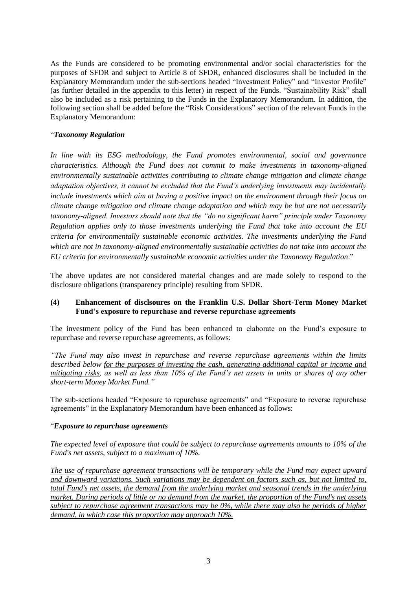As the Funds are considered to be promoting environmental and/or social characteristics for the purposes of SFDR and subject to Article 8 of SFDR, enhanced disclosures shall be included in the Explanatory Memorandum under the sub-sections headed "Investment Policy" and "Investor Profile" (as further detailed in the appendix to this letter) in respect of the Funds. "Sustainability Risk" shall also be included as a risk pertaining to the Funds in the Explanatory Memorandum. In addition, the following section shall be added before the "Risk Considerations" section of the relevant Funds in the Explanatory Memorandum:

## "*Taxonomy Regulation*

*In line with its ESG methodology, the Fund promotes environmental, social and governance characteristics. Although the Fund does not commit to make investments in taxonomy-aligned environmentally sustainable activities contributing to climate change mitigation and climate change adaptation objectives, it cannot be excluded that the Fund's underlying investments may incidentally include investments which aim at having a positive impact on the environment through their focus on climate change mitigation and climate change adaptation and which may be but are not necessarily taxonomy-aligned. Investors should note that the "do no significant harm" principle under Taxonomy Regulation applies only to those investments underlying the Fund that take into account the EU criteria for environmentally sustainable economic activities. The investments underlying the Fund which are not in taxonomy-aligned environmentally sustainable activities do not take into account the EU criteria for environmentally sustainable economic activities under the Taxonomy Regulation*."

The above updates are not considered material changes and are made solely to respond to the disclosure obligations (transparency principle) resulting from SFDR.

### **(4) Enhancement of disclsoures on the Franklin U.S. Dollar Short-Term Money Market Fund's exposure to repurchase and reverse repurchase agreements**

The investment policy of the Fund has been enhanced to elaborate on the Fund's exposure to repurchase and reverse repurchase agreements, as follows:

*"The Fund may also invest in repurchase and reverse repurchase agreements within the limits described below for the purposes of investing the cash, generating additional capital or income and mitigating risks, as well as less than 10% of the Fund's net assets in units or shares of any other short-term Money Market Fund."*

The sub-sections headed "Exposure to repurchase agreements" and "Exposure to reverse repurchase agreements" in the Explanatory Memorandum have been enhanced as follows:

### "*Exposure to repurchase agreements*

*The expected level of exposure that could be subject to repurchase agreements amounts to 10% of the Fund's net assets, subject to a maximum of 10%.* 

*The use of repurchase agreement transactions will be temporary while the Fund may expect upward and downward variations. Such variations may be dependent on factors such as, but not limited to, total Fund's net assets, the demand from the underlying market and seasonal trends in the underlying market. During periods of little or no demand from the market, the proportion of the Fund's net assets subject to repurchase agreement transactions may be 0%, while there may also be periods of higher demand, in which case this proportion may approach 10%.*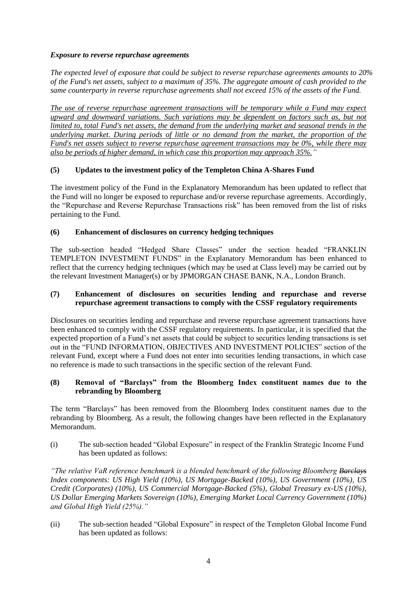## *Exposure to reverse repurchase agreements*

*The expected level of exposure that could be subject to reverse repurchase agreements amounts to 20% of the Fund's net assets, subject to a maximum of 35%. The aggregate amount of cash provided to the same counterparty in reverse repurchase agreements shall not exceed 15% of the assets of the Fund.*

*The use of reverse repurchase agreement transactions will be temporary while a Fund may expect upward and downward variations. Such variations may be dependent on factors such as, but not limited to, total Fund's net assets, the demand from the underlying market and seasonal trends in the underlying market. During periods of little or no demand from the market, the proportion of the Fund's net assets subject to reverse repurchase agreement transactions may be 0%, while there may also be periods of higher demand, in which case this proportion may approach 35%."*

## **(5) Updates to the investment policy of the Templeton China A-Shares Fund**

The investment policy of the Fund in the Explanatory Memorandum has been updated to reflect that the Fund will no longer be exposed to repurchase and/or reverse repurchase agreements. Accordingly, the "Repurchase and Reverse Repurchase Transactions risk" has been removed from the list of risks pertaining to the Fund.

## **(6) Enhancement of disclosures on currency hedging techniques**

The sub-section headed "Hedged Share Classes" under the section headed "FRANKLIN TEMPLETON INVESTMENT FUNDS" in the Explanatory Memorandum has been enhanced to reflect that the currency hedging techniques (which may be used at Class level) may be carried out by the relevant Investment Manager(s) or by JPMORGAN CHASE BANK, N.A., London Branch.

### **(7) Enhancement of disclosures on securities lending and repurchase and reverse repurchase agreement transactions to comply with the CSSF regulatory requirements**

Disclosures on securities lending and repurchase and reverse repurchase agreement transactions have been enhanced to comply with the CSSF regulatory requirements. In particular, it is specified that the expected proportion of a Fund's net assets that could be subject to securities lending transactions is set out in the "FUND INFORMATION, OBJECTIVES AND INVESTMENT POLICIES" section of the relevant Fund, except where a Fund does not enter into securities lending transactions, in which case no reference is made to such transactions in the specific section of the relevant Fund.

## **(8) Removal of "Barclays" from the Bloomberg Index constituent names due to the rebranding by Bloomberg**

The term "Barclays" has been removed from the Bloomberg Index constituent names due to the rebranding by Bloomberg. As a result, the following changes have been reflected in the Explanatory Memorandum.

(i) The sub-section headed "Global Exposure" in respect of the Franklin Strategic Income Fund has been updated as follows:

*"The relative VaR reference benchmark is a blended benchmark of the following Bloomberg Barclays Index components: US High Yield (10%), US Mortgage-Backed (10%), US Government (10%), US Credit (Corporates) (10%), US Commercial Mortgage-Backed (5%), Global Treasury ex-US (10%), US Dollar Emerging Markets Sovereign (10%), Emerging Market Local Currency Government (10%) and Global High Yield (25%)."*

(ii) The sub-section headed "Global Exposure" in respect of the Templeton Global Income Fund has been updated as follows: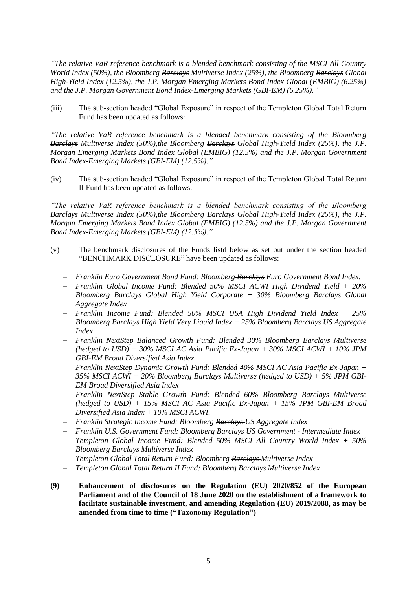*"The relative VaR reference benchmark is a blended benchmark consisting of the MSCI All Country World Index (50%), the Bloomberg Barclays Multiverse Index (25%), the Bloomberg Barclays Global High-Yield Index (12.5%), the J.P. Morgan Emerging Markets Bond Index Global (EMBIG) (6.25%) and the J.P. Morgan Government Bond Index-Emerging Markets (GBI-EM) (6.25%)."*

(iii) The sub-section headed "Global Exposure" in respect of the Templeton Global Total Return Fund has been updated as follows:

*"The relative VaR reference benchmark is a blended benchmark consisting of the Bloomberg Barclays Multiverse Index (50%),the Bloomberg Barclays Global High-Yield Index (25%), the J.P. Morgan Emerging Markets Bond Index Global (EMBIG) (12.5%) and the J.P. Morgan Government Bond Index-Emerging Markets (GBI-EM) (12.5%)."*

(iv) The sub-section headed "Global Exposure" in respect of the Templeton Global Total Return II Fund has been updated as follows:

*"The relative VaR reference benchmark is a blended benchmark consisting of the Bloomberg Barclays Multiverse Index (50%),the Bloomberg Barclays Global High-Yield Index (25%), the J.P. Morgan Emerging Markets Bond Index Global (EMBIG) (12.5%) and the J.P. Morgan Government Bond Index-Emerging Markets (GBI-EM) (12.5%)."*

- (v) The benchmark disclosures of the Funds listd below as set out under the section headed "BENCHMARK DISCLOSURE" have been updated as follows:
	- − *Franklin Euro Government Bond Fund: Bloomberg Barclays Euro Government Bond Index.*
	- − *Franklin Global Income Fund: Blended 50% MSCI ACWI High Dividend Yield + 20% Bloomberg Barclays Global High Yield Corporate + 30% Bloomberg Barclays Global Aggregate Index*
	- − *Franklin Income Fund: Blended 50% MSCI USA High Dividend Yield Index + 25% Bloomberg Barclays High Yield Very Liquid Index + 25% Bloomberg Barclays US Aggregate Index*
	- − *Franklin NextStep Balanced Growth Fund: Blended 30% Bloomberg Barclays Multiverse (hedged to USD) + 30% MSCI AC Asia Pacific Ex-Japan + 30% MSCI ACWI + 10% JPM GBI-EM Broad Diversified Asia Index*
	- − *Franklin NextStep Dynamic Growth Fund: Blended 40% MSCI AC Asia Pacific Ex-Japan + 35% MSCI ACWI + 20% Bloomberg Barclays Multiverse (hedged to USD) + 5% JPM GBI-EM Broad Diversified Asia Index*
	- − *Franklin NextStep Stable Growth Fund: Blended 60% Bloomberg Barclays Multiverse (hedged to USD) + 15% MSCI AC Asia Pacific Ex-Japan + 15% JPM GBI-EM Broad Diversified Asia Index + 10% MSCI ACWI.*
	- − *Franklin Strategic Income Fund: Bloomberg Barclays US Aggregate Index*
	- − *Franklin U.S. Government Fund: Bloomberg Barclays US Government - Intermediate Index*
	- − *Templeton Global Income Fund: Blended 50% MSCI All Country World Index + 50% Bloomberg Barclays Multiverse Index*
	- − *Templeton Global Total Return Fund: Bloomberg Barclays Multiverse Index*
	- − *Templeton Global Total Return II Fund: Bloomberg Barclays Multiverse Index*
- **(9) Enhancement of disclosures on the Regulation (EU) 2020/852 of the European Parliament and of the Council of 18 June 2020 on the establishment of a framework to facilitate sustainable investment, and amending Regulation (EU) 2019/2088, as may be amended from time to time ("Taxonomy Regulation")**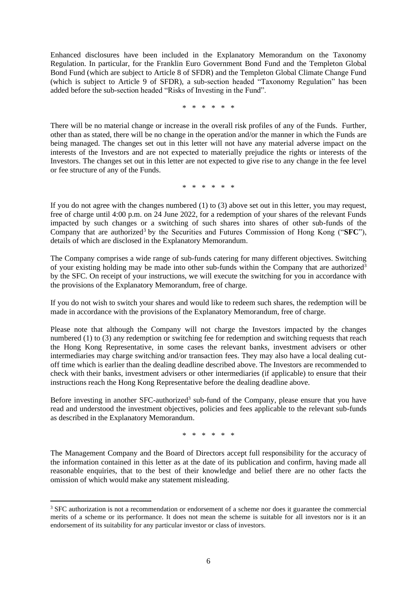Enhanced disclosures have been included in the Explanatory Memorandum on the Taxonomy Regulation. In particular, for the Franklin Euro Government Bond Fund and the Templeton Global Bond Fund (which are subject to Article 8 of SFDR) and the Templeton Global Climate Change Fund (which is subject to Article 9 of SFDR), a sub*-*section headed "Taxonomy Regulation" has been added before the sub*-*section headed "Risks of Investing in the Fund".

\* \* \* \* \* \*

There will be no material change or increase in the overall risk profiles of any of the Funds. Further, other than as stated, there will be no change in the operation and/or the manner in which the Funds are being managed. The changes set out in this letter will not have any material adverse impact on the interests of the Investors and are not expected to materially prejudice the rights or interests of the Investors. The changes set out in this letter are not expected to give rise to any change in the fee level or fee structure of any of the Funds.

\* \* \* \* \* \*

If you do not agree with the changes numbered (1) to (3) above set out in this letter, you may request, free of charge until 4:00 p.m. on 24 June 2022, for a redemption of your shares of the relevant Funds impacted by such changes or a switching of such shares into shares of other sub-funds of the Company that are authorized<sup>3</sup> by the Securities and Futures Commission of Hong Kong ("SFC"), details of which are disclosed in the Explanatory Memorandum.

The Company comprises a wide range of sub-funds catering for many different objectives. Switching of your existing holding may be made into other sub-funds within the Company that are authorized<sup>3</sup> by the SFC. On receipt of your instructions, we will execute the switching for you in accordance with the provisions of the Explanatory Memorandum, free of charge.

If you do not wish to switch your shares and would like to redeem such shares, the redemption will be made in accordance with the provisions of the Explanatory Memorandum, free of charge.

Please note that although the Company will not charge the Investors impacted by the changes numbered (1) to (3) any redemption or switching fee for redemption and switching requests that reach the Hong Kong Representative, in some cases the relevant banks, investment advisers or other intermediaries may charge switching and/or transaction fees. They may also have a local dealing cutoff time which is earlier than the dealing deadline described above. The Investors are recommended to check with their banks, investment advisers or other intermediaries (if applicable) to ensure that their instructions reach the Hong Kong Representative before the dealing deadline above.

Before investing in another SFC-authorized<sup>3</sup> sub-fund of the Company, please ensure that you have read and understood the investment objectives, policies and fees applicable to the relevant sub-funds as described in the Explanatory Memorandum.

\* \* \* \* \* \*

The Management Company and the Board of Directors accept full responsibility for the accuracy of the information contained in this letter as at the date of its publication and confirm, having made all reasonable enquiries, that to the best of their knowledge and belief there are no other facts the omission of which would make any statement misleading.

<sup>&</sup>lt;sup>3</sup> SFC authorization is not a recommendation or endorsement of a scheme nor does it guarantee the commercial merits of a scheme or its performance. It does not mean the scheme is suitable for all investors nor is it an endorsement of its suitability for any particular investor or class of investors.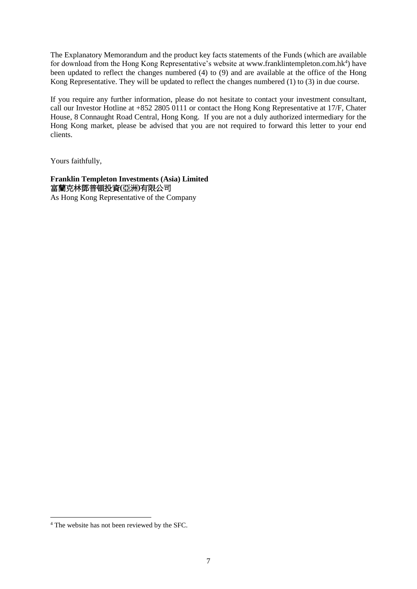The Explanatory Memorandum and the product key facts statements of the Funds (which are available for download from the Hong Kong Representative's website at [www.franklintempleton.com.hk](http://www.franklintempleton.com.hk/)<sup>4</sup>) have been updated to reflect the changes numbered (4) to (9) and are available at the office of the Hong Kong Representative. They will be updated to reflect the changes numbered (1) to (3) in due course.

If you require any further information, please do not hesitate to contact your investment consultant, call our Investor Hotline at +852 2805 0111 or contact the Hong Kong Representative at 17/F, Chater House, 8 Connaught Road Central, Hong Kong. If you are not a duly authorized intermediary for the Hong Kong market, please be advised that you are not required to forward this letter to your end clients.

Yours faithfully,

### **Franklin Templeton Investments (Asia) Limited**  富蘭克林鄧普頓投資**(**亞洲**)**有限公司 As Hong Kong Representative of the Company

<sup>4</sup> The website has not been reviewed by the SFC.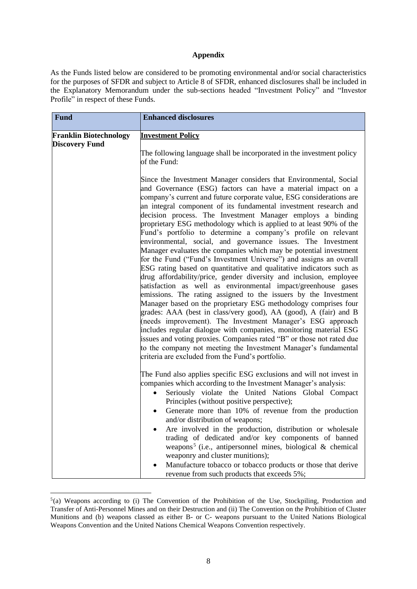#### **Appendix**

As the Funds listed below are considered to be promoting environmental and/or social characteristics for the purposes of SFDR and subject to Article 8 of SFDR, enhanced disclosures shall be included in the Explanatory Memorandum under the sub-sections headed "Investment Policy" and "Investor Profile" in respect of these Funds.

| <b>Fund</b>                   | <b>Enhanced disclosures</b>                                                                                                                                                                                                                                                                                                                                                                                                                                                                                                                                                                                                                                                                                                                                                                                                                                                                                                                                                                                                                                                                                                                                                                                                                                                                                                                                                                                                                               |
|-------------------------------|-----------------------------------------------------------------------------------------------------------------------------------------------------------------------------------------------------------------------------------------------------------------------------------------------------------------------------------------------------------------------------------------------------------------------------------------------------------------------------------------------------------------------------------------------------------------------------------------------------------------------------------------------------------------------------------------------------------------------------------------------------------------------------------------------------------------------------------------------------------------------------------------------------------------------------------------------------------------------------------------------------------------------------------------------------------------------------------------------------------------------------------------------------------------------------------------------------------------------------------------------------------------------------------------------------------------------------------------------------------------------------------------------------------------------------------------------------------|
| <b>Franklin Biotechnology</b> | <b>Investment Policy</b>                                                                                                                                                                                                                                                                                                                                                                                                                                                                                                                                                                                                                                                                                                                                                                                                                                                                                                                                                                                                                                                                                                                                                                                                                                                                                                                                                                                                                                  |
| <b>Discovery Fund</b>         | The following language shall be incorporated in the investment policy<br>of the Fund:                                                                                                                                                                                                                                                                                                                                                                                                                                                                                                                                                                                                                                                                                                                                                                                                                                                                                                                                                                                                                                                                                                                                                                                                                                                                                                                                                                     |
|                               | Since the Investment Manager considers that Environmental, Social<br>and Governance (ESG) factors can have a material impact on a<br>company's current and future corporate value, ESG considerations are<br>an integral component of its fundamental investment research and<br>decision process. The Investment Manager employs a binding<br>proprietary ESG methodology which is applied to at least 90% of the<br>Fund's portfolio to determine a company's profile on relevant<br>environmental, social, and governance issues. The Investment<br>Manager evaluates the companies which may be potential investment<br>for the Fund ("Fund's Investment Universe") and assigns an overall<br>ESG rating based on quantitative and qualitative indicators such as<br>drug affordability/price, gender diversity and inclusion, employee<br>satisfaction as well as environmental impact/greenhouse gases<br>emissions. The rating assigned to the issuers by the Investment<br>Manager based on the proprietary ESG methodology comprises four<br>grades: AAA (best in class/very good), AA (good), A (fair) and B<br>(needs improvement). The Investment Manager's ESG approach<br>includes regular dialogue with companies, monitoring material ESG<br>issues and voting proxies. Companies rated "B" or those not rated due<br>to the company not meeting the Investment Manager's fundamental<br>criteria are excluded from the Fund's portfolio. |
|                               | The Fund also applies specific ESG exclusions and will not invest in<br>companies which according to the Investment Manager's analysis:<br>Seriously violate the United Nations Global Compact<br>Principles (without positive perspective);<br>Generate more than 10% of revenue from the production<br>and/or distribution of weapons;<br>Are involved in the production, distribution or wholesale<br>trading of dedicated and/or key components of banned<br>weapons <sup>5</sup> (i.e., antipersonnel mines, biological & chemical<br>weaponry and cluster munitions);<br>Manufacture tobacco or tobacco products or those that derive<br>revenue from such products that exceeds 5%;                                                                                                                                                                                                                                                                                                                                                                                                                                                                                                                                                                                                                                                                                                                                                                |

 $5$ (a) Weapons according to (i) The Convention of the Prohibition of the Use, Stockpiling, Production and Transfer of Anti-Personnel Mines and on their Destruction and (ii) The Convention on the Prohibition of Cluster Munitions and (b) weapons classed as either B- or C- weapons pursuant to the United Nations Biological Weapons Convention and the United Nations Chemical Weapons Convention respectively.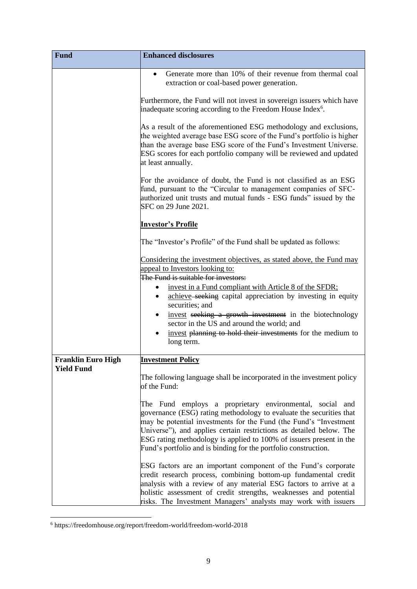| <b>Fund</b>                                    | <b>Enhanced disclosures</b>                                                                                                                                                                                                                                                                                                                                                                                            |
|------------------------------------------------|------------------------------------------------------------------------------------------------------------------------------------------------------------------------------------------------------------------------------------------------------------------------------------------------------------------------------------------------------------------------------------------------------------------------|
|                                                | Generate more than 10% of their revenue from thermal coal<br>extraction or coal-based power generation.                                                                                                                                                                                                                                                                                                                |
|                                                | Furthermore, the Fund will not invest in sovereign issuers which have<br>inadequate scoring according to the Freedom House Index <sup>6</sup> .                                                                                                                                                                                                                                                                        |
|                                                | As a result of the aforementioned ESG methodology and exclusions,<br>the weighted average base ESG score of the Fund's portfolio is higher<br>than the average base ESG score of the Fund's Investment Universe.<br>ESG scores for each portfolio company will be reviewed and updated<br>at least annually.                                                                                                           |
|                                                | For the avoidance of doubt, the Fund is not classified as an ESG<br>fund, pursuant to the "Circular to management companies of SFC-<br>authorized unit trusts and mutual funds - ESG funds" issued by the<br>SFC on 29 June 2021.                                                                                                                                                                                      |
|                                                | <b>Investor's Profile</b>                                                                                                                                                                                                                                                                                                                                                                                              |
|                                                | The "Investor's Profile" of the Fund shall be updated as follows:                                                                                                                                                                                                                                                                                                                                                      |
|                                                | Considering the investment objectives, as stated above, the Fund may<br>appeal to Investors looking to:<br>The Fund is suitable for investors:                                                                                                                                                                                                                                                                         |
|                                                | invest in a Fund compliant with Article 8 of the SFDR;<br>$\bullet$<br>achieve–seeking capital appreciation by investing in equity<br>$\bullet$<br>securities; and                                                                                                                                                                                                                                                     |
|                                                | invest seeking a growth investment in the biotechnology<br>sector in the US and around the world; and                                                                                                                                                                                                                                                                                                                  |
|                                                | invest planning to hold their investments for the medium to<br>long term.                                                                                                                                                                                                                                                                                                                                              |
| <b>Franklin Euro High</b><br><b>Yield Fund</b> | <b>Investment Policy</b>                                                                                                                                                                                                                                                                                                                                                                                               |
|                                                | The following language shall be incorporated in the investment policy<br>of the Fund:                                                                                                                                                                                                                                                                                                                                  |
|                                                | The Fund employs a proprietary environmental, social and<br>governance (ESG) rating methodology to evaluate the securities that<br>may be potential investments for the Fund (the Fund's "Investment"<br>Universe"), and applies certain restrictions as detailed below. The<br>ESG rating methodology is applied to 100% of issuers present in the<br>Fund's portfolio and is binding for the portfolio construction. |
|                                                | ESG factors are an important component of the Fund's corporate<br>credit research process, combining bottom-up fundamental credit<br>analysis with a review of any material ESG factors to arrive at a<br>holistic assessment of credit strengths, weaknesses and potential<br>risks. The Investment Managers' analysts may work with issuers                                                                          |

<sup>6</sup> https://freedomhouse.org/report/freedom-world/freedom-world-2018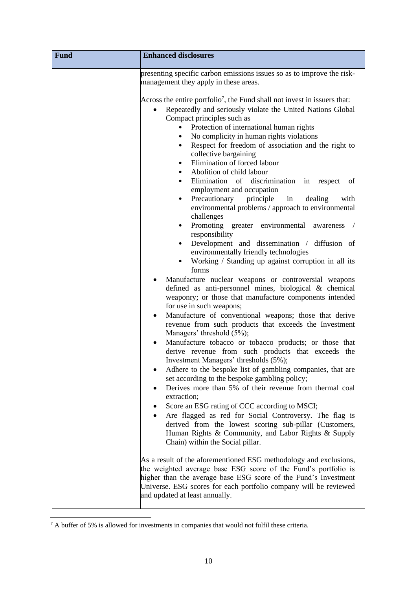| <b>Fund</b> | <b>Enhanced disclosures</b>                                                                                                                                                                                                                                                                                                                                                                                                                                                                                                                                                                                                                                                                                                                                                                                                                                                                                                                                                                                                                                                                                                                                                                                                                                                                                                                                                                                                                                                                                                                                                                                                                                                                                                                                                                                                        |
|-------------|------------------------------------------------------------------------------------------------------------------------------------------------------------------------------------------------------------------------------------------------------------------------------------------------------------------------------------------------------------------------------------------------------------------------------------------------------------------------------------------------------------------------------------------------------------------------------------------------------------------------------------------------------------------------------------------------------------------------------------------------------------------------------------------------------------------------------------------------------------------------------------------------------------------------------------------------------------------------------------------------------------------------------------------------------------------------------------------------------------------------------------------------------------------------------------------------------------------------------------------------------------------------------------------------------------------------------------------------------------------------------------------------------------------------------------------------------------------------------------------------------------------------------------------------------------------------------------------------------------------------------------------------------------------------------------------------------------------------------------------------------------------------------------------------------------------------------------|
|             | presenting specific carbon emissions issues so as to improve the risk-<br>management they apply in these areas.                                                                                                                                                                                                                                                                                                                                                                                                                                                                                                                                                                                                                                                                                                                                                                                                                                                                                                                                                                                                                                                                                                                                                                                                                                                                                                                                                                                                                                                                                                                                                                                                                                                                                                                    |
|             | Across the entire portfolio <sup>7</sup> , the Fund shall not invest in issuers that:<br>Repeatedly and seriously violate the United Nations Global<br>Compact principles such as<br>Protection of international human rights<br>$\bullet$<br>• No complicity in human rights violations<br>Respect for freedom of association and the right to<br>collective bargaining<br>Elimination of forced labour<br>$\bullet$<br>Abolition of child labour<br>Elimination of discrimination in respect of<br>$\bullet$<br>employment and occupation<br>Precautionary principle<br>in<br>dealing<br>with<br>$\bullet$<br>environmental problems / approach to environmental<br>challenges<br>Promoting greater environmental awareness /<br>$\bullet$<br>responsibility<br>Development and dissemination / diffusion of<br>$\bullet$<br>environmentally friendly technologies<br>Working / Standing up against corruption in all its<br>$\bullet$<br>forms<br>Manufacture nuclear weapons or controversial weapons<br>defined as anti-personnel mines, biological & chemical<br>weaponry; or those that manufacture components intended<br>for use in such weapons;<br>Manufacture of conventional weapons; those that derive<br>revenue from such products that exceeds the Investment<br>Managers' threshold (5%);<br>Manufacture tobacco or tobacco products; or those that<br>derive revenue from such products that exceeds the<br>Investment Managers' thresholds (5%);<br>Adhere to the bespoke list of gambling companies, that are<br>set according to the bespoke gambling policy;<br>Derives more than 5% of their revenue from thermal coal<br>extraction;<br>Score an ESG rating of CCC according to MSCI;<br>Are flagged as red for Social Controversy. The flag is<br>derived from the lowest scoring sub-pillar (Customers, |
|             | Human Rights & Community, and Labor Rights & Supply<br>Chain) within the Social pillar.                                                                                                                                                                                                                                                                                                                                                                                                                                                                                                                                                                                                                                                                                                                                                                                                                                                                                                                                                                                                                                                                                                                                                                                                                                                                                                                                                                                                                                                                                                                                                                                                                                                                                                                                            |
|             | As a result of the aforementioned ESG methodology and exclusions,<br>the weighted average base ESG score of the Fund's portfolio is<br>higher than the average base ESG score of the Fund's Investment<br>Universe. ESG scores for each portfolio company will be reviewed<br>and updated at least annually.                                                                                                                                                                                                                                                                                                                                                                                                                                                                                                                                                                                                                                                                                                                                                                                                                                                                                                                                                                                                                                                                                                                                                                                                                                                                                                                                                                                                                                                                                                                       |

<sup>7</sup> A buffer of 5% is allowed for investments in companies that would not fulfil these criteria.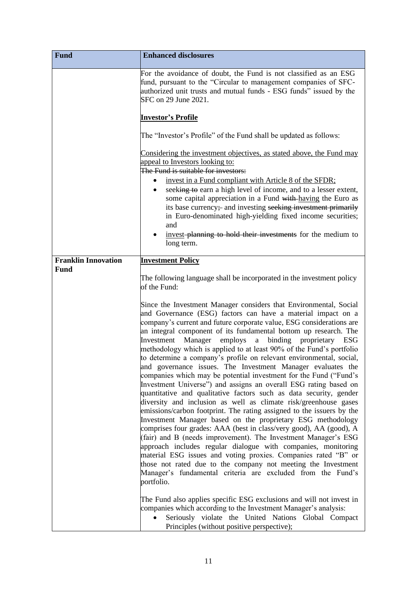| <b>Fund</b>                               | <b>Enhanced disclosures</b>                                                                                                                                                                                                                                                                                                                                                                                                                                                                                                                                                                                                                                                                                                                                                                                                                                                                                                                                                                                                                                                                                                                                                                                                                                                                                                                                                                                                                                                                                     |
|-------------------------------------------|-----------------------------------------------------------------------------------------------------------------------------------------------------------------------------------------------------------------------------------------------------------------------------------------------------------------------------------------------------------------------------------------------------------------------------------------------------------------------------------------------------------------------------------------------------------------------------------------------------------------------------------------------------------------------------------------------------------------------------------------------------------------------------------------------------------------------------------------------------------------------------------------------------------------------------------------------------------------------------------------------------------------------------------------------------------------------------------------------------------------------------------------------------------------------------------------------------------------------------------------------------------------------------------------------------------------------------------------------------------------------------------------------------------------------------------------------------------------------------------------------------------------|
|                                           | For the avoidance of doubt, the Fund is not classified as an ESG<br>fund, pursuant to the "Circular to management companies of SFC-<br>authorized unit trusts and mutual funds - ESG funds" issued by the<br>SFC on 29 June 2021.                                                                                                                                                                                                                                                                                                                                                                                                                                                                                                                                                                                                                                                                                                                                                                                                                                                                                                                                                                                                                                                                                                                                                                                                                                                                               |
|                                           | <b>Investor's Profile</b>                                                                                                                                                                                                                                                                                                                                                                                                                                                                                                                                                                                                                                                                                                                                                                                                                                                                                                                                                                                                                                                                                                                                                                                                                                                                                                                                                                                                                                                                                       |
|                                           | The "Investor's Profile" of the Fund shall be updated as follows:                                                                                                                                                                                                                                                                                                                                                                                                                                                                                                                                                                                                                                                                                                                                                                                                                                                                                                                                                                                                                                                                                                                                                                                                                                                                                                                                                                                                                                               |
|                                           | Considering the investment objectives, as stated above, the Fund may<br>appeal to Investors looking to:<br>The Fund is suitable for investors:<br>invest in a Fund compliant with Article 8 of the SFDR;<br>seeking to earn a high level of income, and to a lesser extent,<br>some capital appreciation in a Fund with-having the Euro as<br>its base currency; and investing seeking investment primarily<br>in Euro-denominated high-yielding fixed income securities;<br>and<br>invest-planning to hold their investments for the medium to<br>long term.                                                                                                                                                                                                                                                                                                                                                                                                                                                                                                                                                                                                                                                                                                                                                                                                                                                                                                                                                   |
| <b>Franklin Innovation</b><br><b>Fund</b> | <b>Investment Policy</b>                                                                                                                                                                                                                                                                                                                                                                                                                                                                                                                                                                                                                                                                                                                                                                                                                                                                                                                                                                                                                                                                                                                                                                                                                                                                                                                                                                                                                                                                                        |
|                                           | The following language shall be incorporated in the investment policy<br>of the Fund:<br>Since the Investment Manager considers that Environmental, Social<br>and Governance (ESG) factors can have a material impact on a<br>company's current and future corporate value, ESG considerations are<br>an integral component of its fundamental bottom up research. The<br>Investment<br>Manager<br>employs<br>binding proprietary<br>a<br>ESG<br>methodology which is applied to at least 90% of the Fund's portfolio<br>to determine a company's profile on relevant environmental, social,<br>and governance issues. The Investment Manager evaluates the<br>companies which may be potential investment for the Fund ("Fund's<br>Investment Universe") and assigns an overall ESG rating based on<br>quantitative and qualitative factors such as data security, gender<br>diversity and inclusion as well as climate risk/greenhouse gases<br>emissions/carbon footprint. The rating assigned to the issuers by the<br>Investment Manager based on the proprietary ESG methodology<br>comprises four grades: AAA (best in class/very good), AA (good), A<br>(fair) and B (needs improvement). The Investment Manager's ESG<br>approach includes regular dialogue with companies, monitoring<br>material ESG issues and voting proxies. Companies rated "B" or<br>those not rated due to the company not meeting the Investment<br>Manager's fundamental criteria are excluded from the Fund's<br>portfolio. |
|                                           | The Fund also applies specific ESG exclusions and will not invest in<br>companies which according to the Investment Manager's analysis:<br>Seriously violate the United Nations Global Compact<br>Principles (without positive perspective);                                                                                                                                                                                                                                                                                                                                                                                                                                                                                                                                                                                                                                                                                                                                                                                                                                                                                                                                                                                                                                                                                                                                                                                                                                                                    |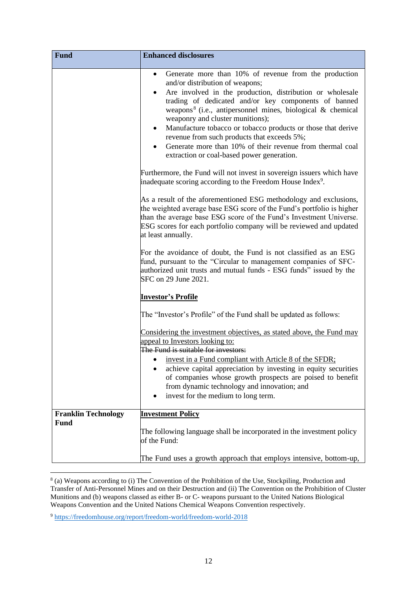| <b>Fund</b>                               | <b>Enhanced disclosures</b>                                                                                                                                                                                                                                                                                                                                                                                                                                                                                                                                                                  |
|-------------------------------------------|----------------------------------------------------------------------------------------------------------------------------------------------------------------------------------------------------------------------------------------------------------------------------------------------------------------------------------------------------------------------------------------------------------------------------------------------------------------------------------------------------------------------------------------------------------------------------------------------|
|                                           | Generate more than 10% of revenue from the production<br>$\bullet$<br>and/or distribution of weapons;<br>Are involved in the production, distribution or wholesale<br>$\bullet$<br>trading of dedicated and/or key components of banned<br>weapons <sup>8</sup> (i.e., antipersonnel mines, biological & chemical<br>weaponry and cluster munitions);<br>Manufacture tobacco or tobacco products or those that derive<br>$\bullet$<br>revenue from such products that exceeds 5%;<br>Generate more than 10% of their revenue from thermal coal<br>extraction or coal-based power generation. |
|                                           | Furthermore, the Fund will not invest in sovereign issuers which have<br>inadequate scoring according to the Freedom House Index <sup>9</sup> .                                                                                                                                                                                                                                                                                                                                                                                                                                              |
|                                           | As a result of the aforementioned ESG methodology and exclusions,<br>the weighted average base ESG score of the Fund's portfolio is higher<br>than the average base ESG score of the Fund's Investment Universe.<br>ESG scores for each portfolio company will be reviewed and updated<br>at least annually.                                                                                                                                                                                                                                                                                 |
|                                           | For the avoidance of doubt, the Fund is not classified as an ESG<br>fund, pursuant to the "Circular to management companies of SFC-<br>authorized unit trusts and mutual funds - ESG funds" issued by the<br>SFC on 29 June 2021.                                                                                                                                                                                                                                                                                                                                                            |
|                                           | <b>Investor's Profile</b>                                                                                                                                                                                                                                                                                                                                                                                                                                                                                                                                                                    |
|                                           | The "Investor's Profile" of the Fund shall be updated as follows:                                                                                                                                                                                                                                                                                                                                                                                                                                                                                                                            |
|                                           | Considering the investment objectives, as stated above, the Fund may<br>appeal to Investors looking to:<br>The Fund is suitable for investors:                                                                                                                                                                                                                                                                                                                                                                                                                                               |
|                                           | invest in a Fund compliant with Article 8 of the SFDR;<br>$\bullet$<br>achieve capital appreciation by investing in equity securities<br>of companies whose growth prospects are poised to benefit<br>from dynamic technology and innovation; and<br>invest for the medium to long term.                                                                                                                                                                                                                                                                                                     |
| <b>Franklin Technology</b><br><b>Fund</b> | <b>Investment Policy</b>                                                                                                                                                                                                                                                                                                                                                                                                                                                                                                                                                                     |
|                                           | The following language shall be incorporated in the investment policy<br>of the Fund:                                                                                                                                                                                                                                                                                                                                                                                                                                                                                                        |
|                                           | The Fund uses a growth approach that employs intensive, bottom-up,                                                                                                                                                                                                                                                                                                                                                                                                                                                                                                                           |

<sup>8</sup> (a) Weapons according to (i) The Convention of the Prohibition of the Use, Stockpiling, Production and Transfer of Anti-Personnel Mines and on their Destruction and (ii) The Convention on the Prohibition of Cluster Munitions and (b) weapons classed as either B- or C- weapons pursuant to the United Nations Biological Weapons Convention and the United Nations Chemical Weapons Convention respectively.

<sup>9</sup> <https://freedomhouse.org/report/freedom-world/freedom-world-2018>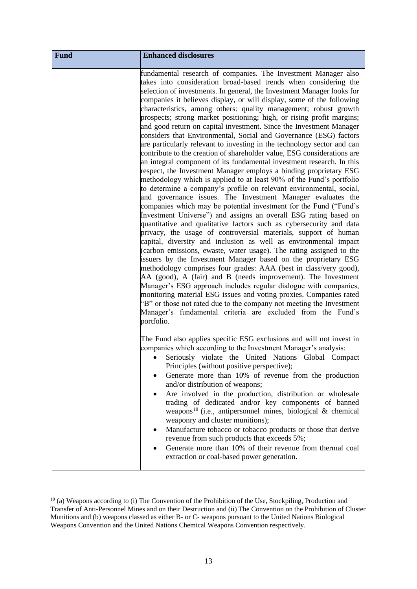| <b>Fund</b> | <b>Enhanced disclosures</b>                                                                                                                                                                                                                                                                                                                                                                                                                                                                                                                                                                                                                                                                                                                                                                                                                                                                                                                                                                                                                                                                                                                                                                                                                                                                                                                                                                                                                                                                                                                                                                                                                                                                                                                                                                                                                                                                                                                                                                                                           |
|-------------|---------------------------------------------------------------------------------------------------------------------------------------------------------------------------------------------------------------------------------------------------------------------------------------------------------------------------------------------------------------------------------------------------------------------------------------------------------------------------------------------------------------------------------------------------------------------------------------------------------------------------------------------------------------------------------------------------------------------------------------------------------------------------------------------------------------------------------------------------------------------------------------------------------------------------------------------------------------------------------------------------------------------------------------------------------------------------------------------------------------------------------------------------------------------------------------------------------------------------------------------------------------------------------------------------------------------------------------------------------------------------------------------------------------------------------------------------------------------------------------------------------------------------------------------------------------------------------------------------------------------------------------------------------------------------------------------------------------------------------------------------------------------------------------------------------------------------------------------------------------------------------------------------------------------------------------------------------------------------------------------------------------------------------------|
|             | fundamental research of companies. The Investment Manager also<br>takes into consideration broad-based trends when considering the<br>selection of investments. In general, the Investment Manager looks for<br>companies it believes display, or will display, some of the following<br>characteristics, among others: quality management; robust growth<br>prospects; strong market positioning; high, or rising profit margins;<br>and good return on capital investment. Since the Investment Manager<br>considers that Environmental, Social and Governance (ESG) factors<br>are particularly relevant to investing in the technology sector and can<br>contribute to the creation of shareholder value, ESG considerations are<br>an integral component of its fundamental investment research. In this<br>respect, the Investment Manager employs a binding proprietary ESG<br>methodology which is applied to at least 90% of the Fund's portfolio<br>to determine a company's profile on relevant environmental, social,<br>and governance issues. The Investment Manager evaluates the<br>companies which may be potential investment for the Fund ("Fund's<br>Investment Universe") and assigns an overall ESG rating based on<br>quantitative and qualitative factors such as cybersecurity and data<br>privacy, the usage of controversial materials, support of human<br>capital, diversity and inclusion as well as environmental impact<br>(carbon emissions, ewaste, water usage). The rating assigned to the<br>issuers by the Investment Manager based on the proprietary ESG<br>methodology comprises four grades: AAA (best in class/very good),<br>AA (good), A (fair) and B (needs improvement). The Investment<br>Manager's ESG approach includes regular dialogue with companies,<br>monitoring material ESG issues and voting proxies. Companies rated<br>"B" or those not rated due to the company not meeting the Investment<br>Manager's fundamental criteria are excluded from the Fund's<br>portfolio. |
|             | The Fund also applies specific ESG exclusions and will not invest in<br>companies which according to the Investment Manager's analysis:<br>Seriously violate the United Nations Global Compact<br>Principles (without positive perspective);<br>Generate more than 10% of revenue from the production<br>and/or distribution of weapons;<br>Are involved in the production, distribution or wholesale<br>trading of dedicated and/or key components of banned<br>weapons <sup>10</sup> (i.e., antipersonnel mines, biological & chemical<br>weaponry and cluster munitions);<br>Manufacture tobacco or tobacco products or those that derive<br>revenue from such products that exceeds 5%;<br>Generate more than 10% of their revenue from thermal coal<br>extraction or coal-based power generation.                                                                                                                                                                                                                                                                                                                                                                                                                                                                                                                                                                                                                                                                                                                                                                                                                                                                                                                                                                                                                                                                                                                                                                                                                                |

<sup>10</sup> (a) Weapons according to (i) The Convention of the Prohibition of the Use, Stockpiling, Production and Transfer of Anti-Personnel Mines and on their Destruction and (ii) The Convention on the Prohibition of Cluster Munitions and (b) weapons classed as either B- or C- weapons pursuant to the United Nations Biological Weapons Convention and the United Nations Chemical Weapons Convention respectively.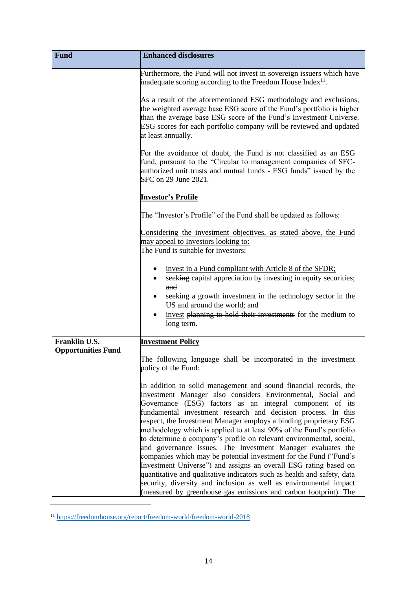| <b>Fund</b>               | <b>Enhanced disclosures</b>                                                                                                                                                                                                                                                                                                                                                                                                                                                                                                                                                                                                                                                                                                                                                                                                                                                                                  |
|---------------------------|--------------------------------------------------------------------------------------------------------------------------------------------------------------------------------------------------------------------------------------------------------------------------------------------------------------------------------------------------------------------------------------------------------------------------------------------------------------------------------------------------------------------------------------------------------------------------------------------------------------------------------------------------------------------------------------------------------------------------------------------------------------------------------------------------------------------------------------------------------------------------------------------------------------|
|                           | Furthermore, the Fund will not invest in sovereign issuers which have<br>inadequate scoring according to the Freedom House Index <sup>11</sup> .                                                                                                                                                                                                                                                                                                                                                                                                                                                                                                                                                                                                                                                                                                                                                             |
|                           | As a result of the aforementioned ESG methodology and exclusions,<br>the weighted average base ESG score of the Fund's portfolio is higher<br>than the average base ESG score of the Fund's Investment Universe.<br>ESG scores for each portfolio company will be reviewed and updated<br>at least annually.                                                                                                                                                                                                                                                                                                                                                                                                                                                                                                                                                                                                 |
|                           | For the avoidance of doubt, the Fund is not classified as an ESG<br>fund, pursuant to the "Circular to management companies of SFC-<br>authorized unit trusts and mutual funds - ESG funds" issued by the<br>SFC on 29 June 2021.                                                                                                                                                                                                                                                                                                                                                                                                                                                                                                                                                                                                                                                                            |
|                           | <u> Investor's Profile</u>                                                                                                                                                                                                                                                                                                                                                                                                                                                                                                                                                                                                                                                                                                                                                                                                                                                                                   |
|                           | The "Investor's Profile" of the Fund shall be updated as follows:                                                                                                                                                                                                                                                                                                                                                                                                                                                                                                                                                                                                                                                                                                                                                                                                                                            |
|                           | Considering the investment objectives, as stated above, the Fund<br>may appeal to Investors looking to:<br>The Fund is suitable for investors:                                                                                                                                                                                                                                                                                                                                                                                                                                                                                                                                                                                                                                                                                                                                                               |
|                           | invest in a Fund compliant with Article 8 of the SFDR;<br>seeking capital appreciation by investing in equity securities;<br>and<br>seeking a growth investment in the technology sector in the<br>US and around the world; and<br>invest planning to hold their investments for the medium to<br>long term.                                                                                                                                                                                                                                                                                                                                                                                                                                                                                                                                                                                                 |
| Franklin U.S.             | <b>Investment Policy</b>                                                                                                                                                                                                                                                                                                                                                                                                                                                                                                                                                                                                                                                                                                                                                                                                                                                                                     |
| <b>Opportunities Fund</b> | The following language shall be incorporated in the investment<br>policy of the Fund:                                                                                                                                                                                                                                                                                                                                                                                                                                                                                                                                                                                                                                                                                                                                                                                                                        |
|                           | In addition to solid management and sound financial records, the<br>Investment Manager also considers Environmental, Social and<br>Governance (ESG) factors as an integral component of its<br>fundamental investment research and decision process. In this<br>respect, the Investment Manager employs a binding proprietary ESG<br>methodology which is applied to at least 90% of the Fund's portfolio<br>to determine a company's profile on relevant environmental, social,<br>and governance issues. The Investment Manager evaluates the<br>companies which may be potential investment for the Fund ("Fund's<br>Investment Universe") and assigns an overall ESG rating based on<br>quantitative and qualitative indicators such as health and safety, data<br>security, diversity and inclusion as well as environmental impact<br>(measured by greenhouse gas emissions and carbon footprint). The |

<sup>11</sup> <https://freedomhouse.org/report/freedom-world/freedom-world-2018>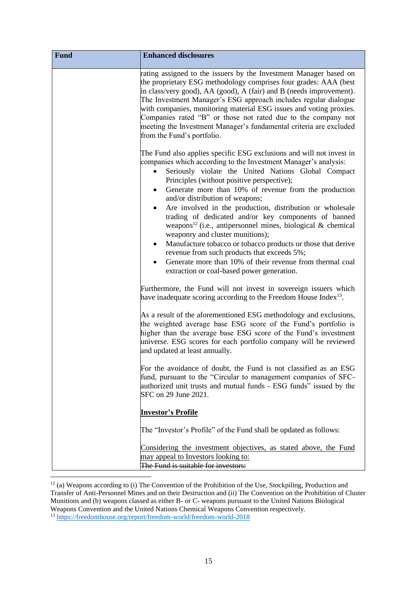| <b>Fund</b> | <b>Enhanced disclosures</b>                                                                                                                                                                                                                                                                                                                                                                                                                                                                                                                                                                                                                                                                                                                                                                                              |
|-------------|--------------------------------------------------------------------------------------------------------------------------------------------------------------------------------------------------------------------------------------------------------------------------------------------------------------------------------------------------------------------------------------------------------------------------------------------------------------------------------------------------------------------------------------------------------------------------------------------------------------------------------------------------------------------------------------------------------------------------------------------------------------------------------------------------------------------------|
|             | rating assigned to the issuers by the Investment Manager based on<br>the proprietary ESG methodology comprises four grades: AAA (best)<br>in class/very good), AA (good), A (fair) and B (needs improvement).<br>The Investment Manager's ESG approach includes regular dialogue<br>with companies, monitoring material ESG issues and voting proxies.<br>Companies rated "B" or those not rated due to the company not<br>meeting the Investment Manager's fundamental criteria are excluded<br>from the Fund's portfolio.                                                                                                                                                                                                                                                                                              |
|             | The Fund also applies specific ESG exclusions and will not invest in<br>companies which according to the Investment Manager's analysis:<br>Seriously violate the United Nations Global Compact<br>Principles (without positive perspective);<br>Generate more than 10% of revenue from the production<br>and/or distribution of weapons;<br>Are involved in the production, distribution or wholesale<br>$\bullet$<br>trading of dedicated and/or key components of banned<br>weapons <sup>12</sup> (i.e., antipersonnel mines, biological & chemical<br>weaponry and cluster munitions);<br>Manufacture tobacco or tobacco products or those that derive<br>٠<br>revenue from such products that exceeds 5%;<br>Generate more than 10% of their revenue from thermal coal<br>extraction or coal-based power generation. |
|             | Furthermore, the Fund will not invest in sovereign issuers which<br>have inadequate scoring according to the Freedom House Index <sup>13</sup> .                                                                                                                                                                                                                                                                                                                                                                                                                                                                                                                                                                                                                                                                         |
|             | As a result of the aforementioned ESG methodology and exclusions,<br>the weighted average base ESG score of the Fund's portfolio is<br>higher than the average base ESG score of the Fund's investment<br>universe. ESG scores for each portfolio company will be reviewed<br>and updated at least annually.                                                                                                                                                                                                                                                                                                                                                                                                                                                                                                             |
|             | For the avoidance of doubt, the Fund is not classified as an ESG<br>fund, pursuant to the "Circular to management companies of SFC-<br>authorized unit trusts and mutual funds - ESG funds" issued by the<br>SFC on 29 June 2021.                                                                                                                                                                                                                                                                                                                                                                                                                                                                                                                                                                                        |
|             | <b>Investor's Profile</b>                                                                                                                                                                                                                                                                                                                                                                                                                                                                                                                                                                                                                                                                                                                                                                                                |
|             | The "Investor's Profile" of the Fund shall be updated as follows:                                                                                                                                                                                                                                                                                                                                                                                                                                                                                                                                                                                                                                                                                                                                                        |
|             | Considering the investment objectives, as stated above, the Fund<br>may appeal to Investors looking to:<br>The Fund is suitable for investors:                                                                                                                                                                                                                                                                                                                                                                                                                                                                                                                                                                                                                                                                           |

<sup>&</sup>lt;sup>12</sup> (a) Weapons according to (i) The Convention of the Prohibition of the Use, Stockpiling, Production and Transfer of Anti-Personnel Mines and on their Destruction and (ii) The Convention on the Prohibition of Cluster Munitions and (b) weapons classed as either B- or C- weapons pursuant to the United Nations Biological Weapons Convention and the United Nations Chemical Weapons Convention respectively.

<sup>13</sup> <https://freedomhouse.org/report/freedom-world/freedom-world-2018>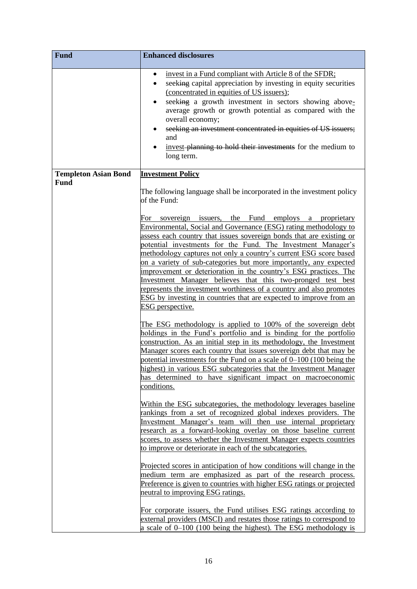| <b>Fund</b>                 | <b>Enhanced disclosures</b>                                                                                                                                                                                                                                                                                                                                                                                                                                                                                                                                                                                                                                                                                                                                                                                                                                                                                                                                                                                                                                                                                                                                                                                                  |
|-----------------------------|------------------------------------------------------------------------------------------------------------------------------------------------------------------------------------------------------------------------------------------------------------------------------------------------------------------------------------------------------------------------------------------------------------------------------------------------------------------------------------------------------------------------------------------------------------------------------------------------------------------------------------------------------------------------------------------------------------------------------------------------------------------------------------------------------------------------------------------------------------------------------------------------------------------------------------------------------------------------------------------------------------------------------------------------------------------------------------------------------------------------------------------------------------------------------------------------------------------------------|
|                             | invest in a Fund compliant with Article 8 of the SFDR;<br>$\bullet$<br>seeking capital appreciation by investing in equity securities<br>(concentrated in equities of US issuers);<br>seeking a growth investment in sectors showing above-<br>average growth or growth potential as compared with the<br>overall economy;<br>seeking an investment concentrated in equities of US issuers;<br>and<br>invest-planning to hold their investments for the medium to<br>long term.                                                                                                                                                                                                                                                                                                                                                                                                                                                                                                                                                                                                                                                                                                                                              |
| <b>Templeton Asian Bond</b> | <b>Investment Policy</b>                                                                                                                                                                                                                                                                                                                                                                                                                                                                                                                                                                                                                                                                                                                                                                                                                                                                                                                                                                                                                                                                                                                                                                                                     |
| <b>Fund</b>                 | The following language shall be incorporated in the investment policy<br>of the Fund:                                                                                                                                                                                                                                                                                                                                                                                                                                                                                                                                                                                                                                                                                                                                                                                                                                                                                                                                                                                                                                                                                                                                        |
|                             | For sovereign issuers, the Fund employs a proprietary<br>Environmental, Social and Governance (ESG) rating methodology to<br>assess each country that issues sovereign bonds that are existing or<br>potential investments for the Fund. The Investment Manager's<br>methodology captures not only a country's current ESG score based<br>on a variety of sub-categories but more importantly, any expected<br>improvement or deterioration in the country's ESG practices. The<br>Investment Manager believes that this two-pronged test best<br>represents the investment worthiness of a country and also promotes<br>ESG by investing in countries that are expected to improve from an<br>ESG perspective.<br>The ESG methodology is applied to 100% of the sovereign debt<br>holdings in the Fund's portfolio and is binding for the portfolio<br>construction. As an initial step in its methodology, the Investment<br>Manager scores each country that issues sovereign debt that may be<br>potential investments for the Fund on a scale of 0–100 (100 being the<br>highest) in various ESG subcategories that the Investment Manager<br>has determined to have significant impact on macroeconomic<br>conditions. |
|                             | Within the ESG subcategories, the methodology leverages baseline<br>rankings from a set of recognized global indexes providers. The<br>Investment Manager's team will then use internal proprietary<br>research as a forward-looking overlay on those baseline current<br>scores, to assess whether the Investment Manager expects countries<br>to improve or deteriorate in each of the subcategories.                                                                                                                                                                                                                                                                                                                                                                                                                                                                                                                                                                                                                                                                                                                                                                                                                      |
|                             | Projected scores in anticipation of how conditions will change in the<br>medium term are emphasized as part of the research process.<br>Preference is given to countries with higher ESG ratings or projected<br>neutral to improving ESG ratings.<br>For corporate issuers, the Fund utilises ESG ratings according to<br>external providers (MSCI) and restates those ratings to correspond to                                                                                                                                                                                                                                                                                                                                                                                                                                                                                                                                                                                                                                                                                                                                                                                                                             |
|                             | a scale of $0-100$ (100 being the highest). The ESG methodology is                                                                                                                                                                                                                                                                                                                                                                                                                                                                                                                                                                                                                                                                                                                                                                                                                                                                                                                                                                                                                                                                                                                                                           |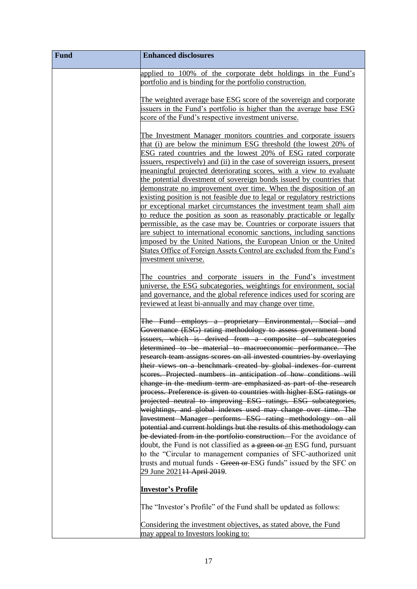| Fund | <b>Enhanced disclosures</b>                                                                                                                                                                                                                                                                                                                                                                                                                                                                                                                                                                                                                                                                                                                                                                                                                                                                                                                                                                                                                                                                                                                                                                                                                                                                                               |
|------|---------------------------------------------------------------------------------------------------------------------------------------------------------------------------------------------------------------------------------------------------------------------------------------------------------------------------------------------------------------------------------------------------------------------------------------------------------------------------------------------------------------------------------------------------------------------------------------------------------------------------------------------------------------------------------------------------------------------------------------------------------------------------------------------------------------------------------------------------------------------------------------------------------------------------------------------------------------------------------------------------------------------------------------------------------------------------------------------------------------------------------------------------------------------------------------------------------------------------------------------------------------------------------------------------------------------------|
|      | applied to 100% of the corporate debt holdings in the Fund's<br>portfolio and is binding for the portfolio construction.                                                                                                                                                                                                                                                                                                                                                                                                                                                                                                                                                                                                                                                                                                                                                                                                                                                                                                                                                                                                                                                                                                                                                                                                  |
|      | The weighted average base ESG score of the sovereign and corporate<br>issuers in the Fund's portfolio is higher than the average base ESG<br>score of the Fund's respective investment universe.                                                                                                                                                                                                                                                                                                                                                                                                                                                                                                                                                                                                                                                                                                                                                                                                                                                                                                                                                                                                                                                                                                                          |
|      | The Investment Manager monitors countries and corporate issuers<br>that (i) are below the minimum ESG threshold (the lowest 20% of<br>ESG rated countries and the lowest 20% of ESG rated corporate<br>issuers, respectively) and (ii) in the case of sovereign issuers, present<br>meaningful projected deteriorating scores, with a view to evaluate<br>the potential divestment of sovereign bonds issued by countries that<br>demonstrate no improvement over time. When the disposition of an<br>existing position is not feasible due to legal or regulatory restrictions<br>or exceptional market circumstances the investment team shall aim<br>to reduce the position as soon as reasonably practicable or legally<br>permissible, as the case may be. Countries or corporate issuers that<br>are subject to international economic sanctions, including sanctions<br>imposed by the United Nations, the European Union or the United<br>States Office of Foreign Assets Control are excluded from the Fund's<br>investment universe.<br>The countries and corporate issuers in the Fund's investment<br>universe, the ESG subcategories, weightings for environment, social<br>and governance, and the global reference indices used for scoring are<br>reviewed at least bi-annually and may change over time. |
|      | The Fund employs a proprietary Environmental, Social and<br>Governance (ESG) rating methodology to assess government bond<br>issuers, which is derived from a composite of subcategories<br>determined to be material to macroeconomic performance. The<br>research team assigns scores on all invested countries by overlaying<br>their views on a benchmark created by global indexes for current<br>scores. Projected numbers in anticipation of how conditions will<br>change in the medium term are emphasized as part of the research<br>process. Preference is given to countries with higher ESG ratings or<br>projected neutral to improving ESG ratings. ESG subcategories,<br>weightings, and global indexes used may change over time. The<br>Investment Manager performs ESG rating methodology on all<br>potential and current holdings but the results of this methodology can<br>be deviated from in the portfolio construction. For the avoidance of<br>doubt, the Fund is not classified as a green or an ESG fund, pursuant<br>to the "Circular to management companies of SFC-authorized unit<br>trusts and mutual funds - Green or ESG funds" issued by the SFC on<br>29 June 2021 <del>11 April 2019</del> .                                                                                        |
|      | <u> Investor's Profile</u><br>The "Investor's Profile" of the Fund shall be updated as follows:                                                                                                                                                                                                                                                                                                                                                                                                                                                                                                                                                                                                                                                                                                                                                                                                                                                                                                                                                                                                                                                                                                                                                                                                                           |
|      | Considering the investment objectives, as stated above, the Fund<br>may appeal to Investors looking to:                                                                                                                                                                                                                                                                                                                                                                                                                                                                                                                                                                                                                                                                                                                                                                                                                                                                                                                                                                                                                                                                                                                                                                                                                   |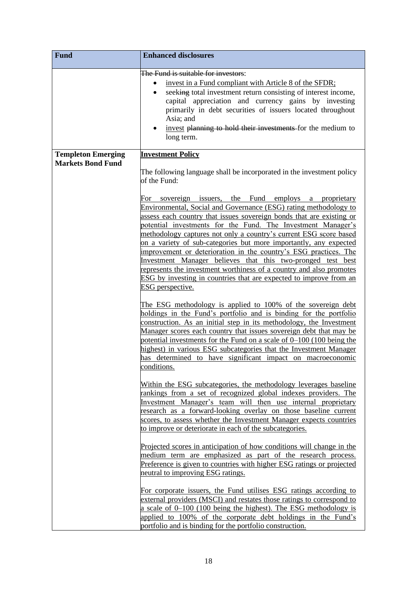| <b>Fund</b>                                           | <b>Enhanced disclosures</b>                                                                                                                                                                                                                                                                                                                                                                                                                                                                                                                                                                                                                                                                                                                                                                                                                                                                                                                                                                                                                                                                                                                                                                                                                                                                                                                                                                                                                                                                                                                                                                                                                                                                                                                                                                                                                                                                                                                                                                                                                                                                                                                                                                                                                 |
|-------------------------------------------------------|---------------------------------------------------------------------------------------------------------------------------------------------------------------------------------------------------------------------------------------------------------------------------------------------------------------------------------------------------------------------------------------------------------------------------------------------------------------------------------------------------------------------------------------------------------------------------------------------------------------------------------------------------------------------------------------------------------------------------------------------------------------------------------------------------------------------------------------------------------------------------------------------------------------------------------------------------------------------------------------------------------------------------------------------------------------------------------------------------------------------------------------------------------------------------------------------------------------------------------------------------------------------------------------------------------------------------------------------------------------------------------------------------------------------------------------------------------------------------------------------------------------------------------------------------------------------------------------------------------------------------------------------------------------------------------------------------------------------------------------------------------------------------------------------------------------------------------------------------------------------------------------------------------------------------------------------------------------------------------------------------------------------------------------------------------------------------------------------------------------------------------------------------------------------------------------------------------------------------------------------|
|                                                       | The Fund is suitable for investors:<br>invest in a Fund compliant with Article 8 of the SFDR:<br>seeking total investment return consisting of interest income,<br>$\bullet$<br>capital appreciation and currency gains by investing<br>primarily in debt securities of issuers located throughout<br>Asia; and<br>invest planning to hold their investments for the medium to<br>long term.                                                                                                                                                                                                                                                                                                                                                                                                                                                                                                                                                                                                                                                                                                                                                                                                                                                                                                                                                                                                                                                                                                                                                                                                                                                                                                                                                                                                                                                                                                                                                                                                                                                                                                                                                                                                                                                |
| <b>Templeton Emerging</b><br><b>Markets Bond Fund</b> | <b>Investment Policy</b><br>The following language shall be incorporated in the investment policy<br>of the Fund:<br>For sovereign issuers, the Fund employs a proprietary<br>Environmental, Social and Governance (ESG) rating methodology to<br>assess each country that issues sovereign bonds that are existing or<br>potential investments for the Fund. The Investment Manager's<br>methodology captures not only a country's current ESG score based<br>on a variety of sub-categories but more importantly, any expected<br>improvement or deterioration in the country's ESG practices. The<br>Investment Manager believes that this two-pronged test best<br>represents the investment worthiness of a country and also promotes<br>ESG by investing in countries that are expected to improve from an<br>ESG perspective.<br>The ESG methodology is applied to 100% of the sovereign debt<br>holdings in the Fund's portfolio and is binding for the portfolio<br>construction. As an initial step in its methodology, the Investment<br>Manager scores each country that issues sovereign debt that may be<br>potential investments for the Fund on a scale of 0–100 (100 being the<br>highest) in various ESG subcategories that the Investment Manager<br>has determined to have significant impact on macroeconomic<br>conditions.<br>Within the <b>ESG</b> subcategories, the methodology leverages baseline<br>rankings from a set of recognized global indexes providers. The<br>Investment Manager's team will then use internal proprietary<br>research as a forward-looking overlay on those baseline current<br>scores, to assess whether the Investment Manager expects countries<br>to improve or deteriorate in each of the subcategories.<br>Projected scores in anticipation of how conditions will change in the<br>medium term are emphasized as part of the research process.<br>Preference is given to countries with higher ESG ratings or projected<br>neutral to improving ESG ratings.<br>For corporate issuers, the Fund utilises ESG ratings according to<br>external providers (MSCI) and restates those ratings to correspond to<br>a scale of 0–100 (100 being the highest). The ESG methodology is |
|                                                       | applied to 100% of the corporate debt holdings in the Fund's<br>portfolio and is binding for the portfolio construction.                                                                                                                                                                                                                                                                                                                                                                                                                                                                                                                                                                                                                                                                                                                                                                                                                                                                                                                                                                                                                                                                                                                                                                                                                                                                                                                                                                                                                                                                                                                                                                                                                                                                                                                                                                                                                                                                                                                                                                                                                                                                                                                    |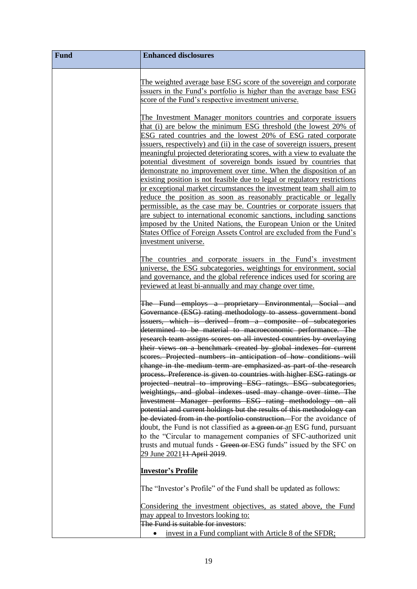| Fund | <b>Enhanced disclosures</b>                                                                                                                                                                                                                                                                                                                                                                                                                                                                                                                                                                                                                                                                                                                                                                                                                                                 |
|------|-----------------------------------------------------------------------------------------------------------------------------------------------------------------------------------------------------------------------------------------------------------------------------------------------------------------------------------------------------------------------------------------------------------------------------------------------------------------------------------------------------------------------------------------------------------------------------------------------------------------------------------------------------------------------------------------------------------------------------------------------------------------------------------------------------------------------------------------------------------------------------|
|      | The weighted average base ESG score of the sovereign and corporate<br>issuers in the Fund's portfolio is higher than the average base ESG<br>score of the Fund's respective investment universe.                                                                                                                                                                                                                                                                                                                                                                                                                                                                                                                                                                                                                                                                            |
|      | The Investment Manager monitors countries and corporate issuers<br>that (i) are below the minimum ESG threshold (the lowest 20% of<br>ESG rated countries and the lowest 20% of ESG rated corporate<br>issuers, respectively) and (ii) in the case of sovereign issuers, present<br>meaningful projected deteriorating scores, with a view to evaluate the<br>potential divestment of sovereign bonds issued by countries that<br>demonstrate no improvement over time. When the disposition of an<br>existing position is not feasible due to legal or regulatory restrictions<br>or exceptional market circumstances the investment team shall aim to<br>reduce the position as soon as reasonably practicable or legally<br>permissible, as the case may be. Countries or corporate issuers that<br>are subject to international economic sanctions, including sanctions |
|      | imposed by the United Nations, the European Union or the United<br>States Office of Foreign Assets Control are excluded from the Fund's<br>investment universe.                                                                                                                                                                                                                                                                                                                                                                                                                                                                                                                                                                                                                                                                                                             |
|      | The countries and corporate issuers in the Fund's investment<br>universe, the ESG subcategories, weightings for environment, social<br>and governance, and the global reference indices used for scoring are<br>reviewed at least bi-annually and may change over time.                                                                                                                                                                                                                                                                                                                                                                                                                                                                                                                                                                                                     |
|      | The Fund employs a proprietary Environmental, Social and<br>Governance (ESG) rating methodology to assess government bond<br>issuers, which is derived from a composite of subcategories<br>determined to be material to macroeconomic performance. The<br>research team assigns scores on all invested countries by overlaying                                                                                                                                                                                                                                                                                                                                                                                                                                                                                                                                             |
|      | their views on a benchmark created by global indexes for current<br>scores. Projected numbers in anticipation of how conditions will<br>change in the medium term are emphasized as part of the research<br>process. Preference is given to countries with higher ESG ratings or<br>projected neutral to improving ESG ratings. ESG subcategories,                                                                                                                                                                                                                                                                                                                                                                                                                                                                                                                          |
|      | weightings, and global indexes used may change over time. The<br>Investment Manager performs ESG rating methodology on all<br>potential and current holdings but the results of this methodology can<br>be deviated from in the portfolio construction. For the avoidance of<br>doubt, the Fund is not classified as a green or an ESG fund, pursuant<br>to the "Circular to management companies of SFC-authorized unit<br>trusts and mutual funds - Green or ESG funds" issued by the SFC on                                                                                                                                                                                                                                                                                                                                                                              |
|      | 29 June 2021 <del>11 April 2019</del> .<br><u> Investor's Profile</u>                                                                                                                                                                                                                                                                                                                                                                                                                                                                                                                                                                                                                                                                                                                                                                                                       |
|      | The "Investor's Profile" of the Fund shall be updated as follows:<br>Considering the investment objectives, as stated above, the Fund<br>may appeal to Investors looking to:                                                                                                                                                                                                                                                                                                                                                                                                                                                                                                                                                                                                                                                                                                |
|      | The Fund is suitable for investors:<br>invest in a Fund compliant with Article 8 of the SFDR:                                                                                                                                                                                                                                                                                                                                                                                                                                                                                                                                                                                                                                                                                                                                                                               |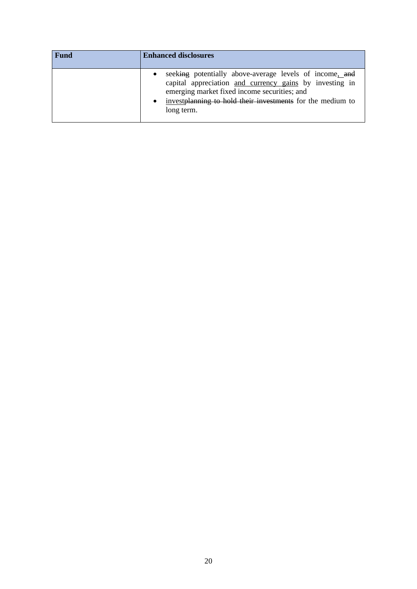| Fund | <b>Enhanced disclosures</b>                                                                                                                                                                                                                                 |
|------|-------------------------------------------------------------------------------------------------------------------------------------------------------------------------------------------------------------------------------------------------------------|
|      | seeking potentially above-average levels of income, and<br>capital appreciation and currency gains by investing in<br>emerging market fixed income securities; and<br>investplanning to hold their investments for the medium to<br>$\bullet$<br>long term. |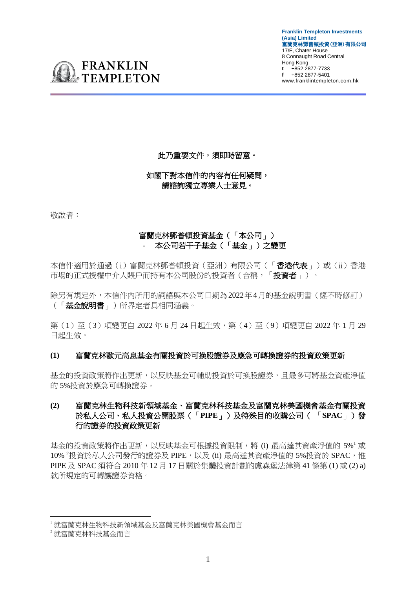**Franklin Templeton Investments (Asia) Limited**  富蘭克林鄧普頓投資(亞洲)有限公司 17/F, Chater House 8 Connaught Road Central Hong Kong **t** +852 2877-7733 **f** +852 2877-5401 www.franklintempleton.com.hk



# 此乃重要文件,須即時留意。

## 如閣下對本信件的內容有任何疑問, 請諮詢獨立專業人士意見。

敬啟者:

# 富蘭克林鄧普頓投資基金(「本公司」) - 本公司若干子基金(「基金」)之變更

本信件適用於通過(i)富蘭克林鄧普頓投資(亞洲)有限公司(「香港代表」)或(ii)香港 市場的正式授權中介人賬戶而持有本公司股份的投資者(合稱,「投資者」)。

除另有規定外,本信件內所用的詞語與本公司日期為2022年4月的基金說明書(經不時修訂) (「基金說明書」)所界定者具相同涵義。

第(1)至(3)項變更自 2022年6月 24 日起生效,第(4)至(9)項變更自 2022年1月 29 日起生效。

## **(1)** 富蘭克林歐元高息基金有關投資於可換股證券及應急可轉換證券的投資政策更新

基金的投資政策將作出更新,以反映基金可輔助投資於可換股證券,且最多可將基金資產淨值 的 5%投資於應急可轉換證券。

# **(2)** 富蘭克林生物科技新領域基金、富蘭克林科技基金及富蘭克林美國機會基金有關投資 於私人公司、私人投資公開股票(「**PIPE**」)及特殊目的收購公司( 「**SPAC**」)發 行的證券的投資政策更新

基金的投資政策將作出更新,以反映基金可根據投資限制,將 (i) 最高達其資產淨值的 5%<sup>1</sup> 或 10% 2投資於私人公司發行的證券及 PIPE, 以及 (ii) 最高達其資產淨值的 5%投資於 SPAC, 惟 PIPE 及 SPAC 須符合 2010 年 12 月 17 日關於集體投資計劃的盧森堡法律第 41 條第 (1) 或 (2) a) 款所規定的可轉讓證券資格。

<sup>1</sup> 就富蘭克林生物科技新領域基金及富蘭克林美國機會基金而言

<sup>2</sup> 就富蘭克林科技基金而言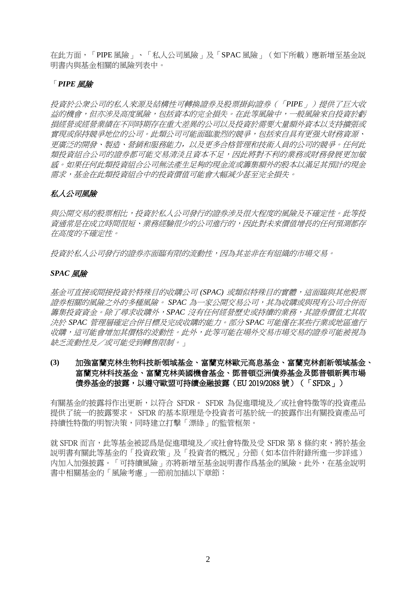在此方面,「PIPE 風險」、「私人公司風險」及「SPAC 風險」(如下所載)應新增至基金説 明書内與基金相關的風險列表中。

## 「*PIPE* 風險

投資於公衆公司的私人來源及結構性可轉換證券及股票掛鈎證券(「*PIPE*」)提供了巨大收 益的機會,但亦涉及高度風險,包括資本的完全損失。在此等風險中,一般風險來自投資於虧 損經營或經營業績在不同時期存在重大差異的公司以及投資於需要大量額外資本以支持擴張或 實現或保持競爭地位的公司。此類公司可能面臨激烈的競爭,包括來自具有更强大財務資源、 更廣泛的開發、製造、營銷和服務能力,以及更多合格管理和技術人員的公司的競爭。任何此 類投資組合公司的證券都可能交易清淡且資本不足,因此將對不利的業務或財務發展更加敏 感。如果任何此類投資組合公司無法產生足夠的現金流或籌集額外的股本以滿足其預計的現金 需求,基金在此類投資組合中的投資價值可能會大幅減少甚至完全損失。

## 私人公司風險

與公開交易的股票相比,投資於私人公司發行的證券涉及很大程度的風險及不確定性。此等投 資通常是在成立時間很短、業務經驗很少的公司進行的,因此對未來價值增長的任何預測都存 在高度的不確定性。

投資於私人公司發行的證券亦面臨有限的流動性,因為其並非在有組織的市場交易。

### *SPAC* 風險

基金可直接或間接投資於特殊目的收購公司 *(SPAC)* 或類似特殊目的實體,這面臨與其他股票 證券相關的風險之外的多種風險。 *SPAC* 為一家公開交易公司,其為收購或與現有公司合併而 籌集投資資金。除了尋求收購外,*SPAC* 沒有任何經營歷史或持續的業務,其證券價值尤其取 決於 *SPAC* 管理層確定合併目標及完成收購的能力。部分 *SPAC* 可能僅在某些行業或地區進行 收購,這可能會增加其價格的波動性。此外,此等可能在場外交易市場交易的證券可能被視為 缺乏流動性及/或可能受到轉售限制。」

# **(3)** 加強富蘭克林生物科技新領域基金、富蘭克林歐元高息基金、富蘭克林創新領域基金、 富蘭克林科技基金、富蘭克林美國機會基金、鄧普頓亞洲債券基金及鄧普頓新興市場 債券基金的披露,以遵守歐盟可持續金融披露(EU 2019/2088 號)(「SFDR」)

有關基金的披露将作出更新,以符合 SFDR。 SFDR 為促進環境及/或社會特徵等的投資產品 提供了統一的披露要求。 SFDR 的基本原理是令投資者可基於統一的披露作出有關投資產品可 持續性特徵的明智決策,同時建立打擊「漂綠」的監管框架。

就 SFDR 而言,此等基金被認爲是促進環境及/或社會特徵及受 SFDR 第 8 條約束,將於基金 説明書有關此等基金的「投資政策」及「投資者的概況」分節(如本信件附錄所進一步詳述) 内加入加强披露。「可持續風險」亦將新增至基金説明書作爲基金的風險。此外,在基金說明 書中相關基金的「風險考慮」一節前加插以下章節: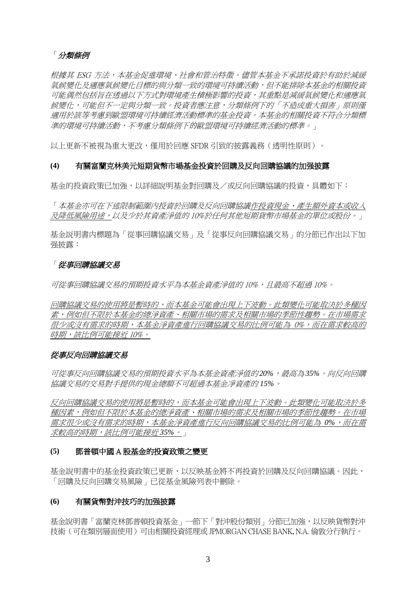# 「分類條例

根據其 ESG 方法,本基金促進環境、社會和管治特徵。儘管本基金不承諾投資於有助於減緩 氣候變化及適應氣候變化目標的與分類一致的環境可持續活動,但不能排除本基金的相關投資 可能偶然包括旨在透過以下方式對環境產生積極影響的投資,其重點是減緩氣候變化和適應氣 候變化,可能但不一定與分類一致。投資者應注意,分類條例下的「不造成重大損害」原則僅 適用於該等考慮到歐盟環境可持續經濟活動標準的基金投資。本基金的相關投資不符合分類標 準的環境可持續活動,不考慮分類條例下的歐盟環境可持續經濟活動的標準。」

以上更新不被視為重大更改,僅用於回應 SFDR 引致的披露義務(透明性原則)。

### **(4)** 有關富蘭克林美元短期貨幣市場基金投資於回購及反向回購協議的加强披露

基金的投資政策已加強,以詳細說明基金對回購及/或反向回購協議的投資,具體如下:

「本基金亦可在下述限制範圍內投資於回購及反向回購協議作投資現金、產生額外資本或收入 及降低風險用途,以及少於其資產淨值的 10%於任何其他短期貨幣市場基金的單位或股份。」

基金説明書内標題為「從事回購協議交易」及「從事反向回購協議交易」的分節已作出以下加 强披露:

### 「從事回購協議交易

可從事回購協議交易的預期投資水平為本基金資產淨值的 10%,且最高不超過 10%。

回購協議交易的使用將是暫時的,而本基金可能會出現上下波動。此類變化可能取決於多種因 素,例如但不限於本基金的總淨資產、相關市場的需求及相關市場的季節性趨勢。在市場需求 很少或沒有需求的時期,本基金淨資產進行回購協議交易的比例可能為 0%,而在需求較高的 時期,該比例可能接近 10%。

### 從事反向回購協議交易

可從事反向回購協議交易的預期投資水平為本基金資產淨值的 *20%*,最高為*35%*。向反向回購 協議交易的交易對手提供的現金總額不可超過本基金凈資產的 *15%*。

反向回購協議交易的使用將是暫時的,而本基金可能會出現上下波動。此類變化可能取決於多 種因素,例如但不限於本基金的總淨資產、相關市場的需求及相關市場的季節性趨勢。在市場 需求很少或沒有需求的時期,本基金淨資產進行反向回購協議交易的比例可能為 *0%*,而在需 求較高的時期,該比例可能接近 *35%*。」

### **(5)** 鄧普頓中國 A 股基金的投資政策之變更

基金說明書中的基金投資政策已更新,以反映基金將不再投資於回購及反向回購協議。因此, 「回購及反向回購交易風險」已從基金風險列表中刪除。

### **(6)** 有關貨幣對沖技巧的加强披露

基金說明書「富蘭克林鄧普頓投資基金」一節下「對沖股份類別」分節已加強,以反映貨幣對沖 技術(可在類別層面使用)可由相關投資經理或 JPMORGAN CHASE BANK, N.A. 倫敦分行執行。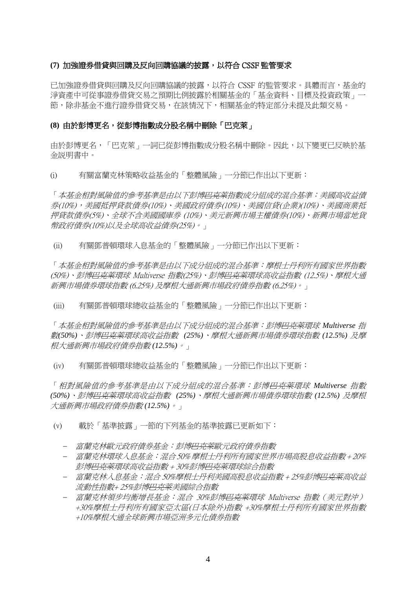#### **(7)** 加強證券借貸與回購及反向回購協議的披露,以符合 CSSF 監管要求

已加強證券借貸與回購及反向回購協議的披露,以符合 CSSF 的監管要求。具體而言,基金的 淨資產中可從事證券借貸交易之預期比例披露於相關基金的「基金資料、目標及投資政策」一 節,除非基金不進行證券借貸交易,在該情況下,相關基金的特定部分未提及此類交易。

#### **(8)** 由於彭博更名,從彭博指數成分股名稱中刪除「巴克萊」

由於彭博更名,「巴克萊」一詞已從彭博指數成分股名稱中刪除。因此,以下變更已反映於基 金説明書中。

(i) 有關富蘭克林策略收益基金的「整體風險」一分節已作出以下更新:

「本基金相對風險值的參考基準是由以下彭博<del>巴克萊</del>指數成分組成的混合基準:美國高收益債 券(10%),美國抵押貸款債券(10%)、美國政府債券(10%)、美國信貸(企業)(10%)、美國商業抵 押貸款債券(5%)、全球不含美國國庫券 (10%)、美元新興市場主權債券(10%)、新興市場當地貨 幣政府債券(10%)以及全球高收益債券(25%)。」

(ii) 有關鄧普頓環球入息基金的「整體風險」一分節已作出以下更新:

「本基金相對風險值的參考基準是由以下成分組成的混合基準:摩根士丹利所有國家世界指數 (50%)、彭博<del>巴克萊</del>環球 Multiverse 指數(25%)、彭博<del>巴克萊</del>環球高收益指數 (12.5%)、摩根大通 新興市場債券環球指數 (6.25%) 及摩根大通新興市場政府債券指數 (6.25%)。」

(iii) 有關鄧普頓環球總收益基金的「整體風險」一分節已作出以下更新:

「本基金相對風險值的參考基準是由以下成分組成的混合基準:彭博巴克萊環球 *Multiverse* 指 數*(50%)*、彭博巴克萊環球高收益指數 *(25%)*、摩根大通新興市場債券環球指數 *(12.5%)* 及摩 根大通新興市場政府債券指數 *(12.5%)*。」

(iv) 有關鄧普頓環球總收益基金的「整體風險」一分節已作出以下更新:

「相對風險值的參考基準是由以下成分組成的混合基準:彭博巴克萊環球 *Multiverse* 指數 *(50%)*、彭博巴克萊環球高收益指數 *(25%)*、摩根大通新興市場債券環球指數 *(12.5%)* 及摩根 大通新興市場政府債券指數 *(12.5%)*。」

(v) 載於「基準披露」一節的下列基金的基準披露已更新如下:

- − 富蘭克林歐元政府債券基金:彭博<del>巴克萊</del>歐元政府債券指數
- − 富蘭克林環球入息基金:混合 50% 摩根士丹利所有國家世界市場高股息收益指數 + 20% 彭博巴克萊環球高收益指數 + 30%彭博巴克萊環球綜合指數
- − 富蘭克林入息基金:混合 50%摩根士丹利美國高股息收益指數 + 25%彭博巴克萊高收益 *流動性指數+ 25%彭博<del>巴克萊</del>美國綜合指數*
- − 富蘭克林領步均衡增長基金:混合 30%彭博<del>巴克萊</del>環球 Multiverse 指數(美元對沖) +30%摩根士丹利所有國家亞太區(日本除外)指數 +30%摩根士丹利所有國家世界指數 +10%摩根大通全球新興巿場亞洲多元化債券指數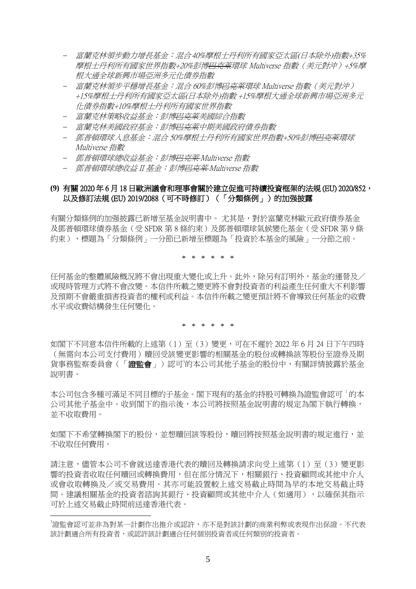- − 富蘭克林領步動力增長基金:混合40%摩根士丹利所有國家亞太區(日本除外)指數+35% 摩根士丹利所有國家世界指數+20%彭博<del>巴克萊</del>環球 Multiverse 指數(美元對沖)+5%摩 根大通全球新興巿場亞洲多元化債券指數
- 富蘭克林領步平穩增長基金:混合 60%彭博<del>巴克萊</del>環球 Multiverse 指數(美元對沖) +15%摩根十丹利所有國家亞太區(日本除外)指數 +15%摩根大通全球新興市場亞洲多元 化債券指數+10%摩根士丹利所有國家世界指數
- 富蘭克林策略收益基金: 彭博<del>巴克莱</del>美國綜合指數
- − 富蘭克林美國政府基金:彭博<del>巴克莱</del>中期美國政府債券指數
- − 鄧普頓環球入息基金:混合 50%摩根士丹利所有國家世界指數+50%彭博巴克萊環球 Multiverse 指數
- − 鄧普頓環球總收益基金:彭博巴克萊 Multiverse 指數
- − 鄧普頓環球總收益 II 基金:彭博巴克萊 Multiverse 指數

## **(9)** 有關 2020 年 6 月 18 日歐洲議會和理事會關於建立促進可持續投資框架的法規 (EU) 2020/852, 以及修訂法規 (EU) 2019/2088 (可不時修訂) (「分類條例」)的加强披露

有關分類條例的加强披露已新增至基金説明書中。 尤其是,對於富蘭克林歐元政府債券基金 及鄧普頓環球債券基金(受 SFDR 第 8 條約束)及鄧普頓環球氣候變化基金(受 SFDR 第 9 條 約束),標題為「分類條例」一分節已新增至標題為「投資於本基金的風險」一分節之前。

\* \* \* \* \* \*

任何基金的整體風險概況將不會出現重大變化或上升。此外,除另有訂明外,基金的運營及/ 或現時管理方式將不會改變。本信件所載之變更將不會對投資者的利益產生任何重大不利影響 及預期不會嚴重損害投資者的權利或利益。本信件所載之變更預計將不會導致任何基金的收費 水平或收費結構發生任何變化。

\* \* \* \* \* \*

如閣下不同意本信件所載的上述第(1)至(3)變更,可在不遲於 2022 年 6 月 24 日下午四時 (無需向本公司支付費用)贖回受該變更影響的相關基金的股份或轉換該等股份至證券及期 貨事務監察委員會(「**證監會**」)認可<sup>3</sup>的本公司其他子基金的股份中,有關詳情披露於基金 說明書。

本公司包含多種可滿足不同目標的子基金。閣下現有的基金的持股可轉換為證監會認可 的本 公司其他子基金中。收到閣下的指示後,本公司將按照基金說明書的規定為閣下執行轉換, 並不收取費用。

如閣下不希望轉換閣下的股份,並想贖回該等股份,贖回將按照基金說明書的規定進行,並 不收取任何費用。

請注意,儘管本公司不會就送達香港代表的贖回及轉換請求向受上述第(1)至(3)變更影 響的投資者收取任何贖回或轉換費用,但在部分情況下,相關銀行、投資顧問或其他中介人 或會收取轉換及/或交易費用。其亦可能設置較上述交易截止時間為早的本地交易截止時 間。建議相關基金的投資者諮詢其銀行、投資顧問或其他中介人(如適用),以確保其指示 可於上述交易截止時間前送達香港代表。

<sup>3</sup>證監會認可並非為對某一計劃作出推介或認許,亦不是對該計劃的商業利弊或表現作出保證。不代表 該計劃適合所有投資者,或認許該計劃適合任何個別投資者或任何類別的投資者。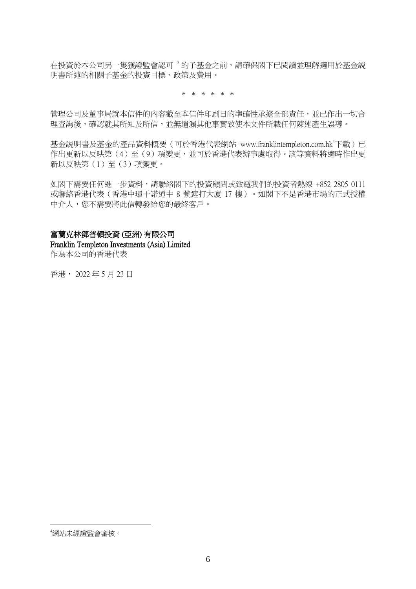在投資於本公司另一隻獲證監會認可<sup>3</sup>的子基金之前,請確保閣下已閱讀並理解適用於基金說 明書所述的相關子基金的投資目標、政策及費用。

\* \* \* \* \* \*

管理公司及董事局就本信件的內容截至本信件印刷日的準確性承擔全部責任,並已作出一切合 理查詢後,確認就其所知及所信,並無遺漏其他事實致使本文件所載任何陳述產生誤導。

基金説明書及基金的產品資料概要 (可於香港代表網站 www.franklintempleton.com.hk<sup>4</sup>下載)已 作出更新以反映第(4)至(9)項變更,並可於香港代表辦事處取得。該等資料將適時作出更 新以反映第(1)至(3)項變更。

如閣下需要任何進一步資料,請聯絡閣下的投資顧問或致電我們的投資者熱線 +852 2805 0111 或聯絡香港代表(香港中環干諾道中 8 號遮打大廈 17 樓)。如閣下不是香港市場的正式授權 中介人,您不需要將此信轉發給您的最終客戶。

### 富蘭克林鄧普頓投資 (亞洲) 有限公司

Franklin Templeton Investments (Asia) Limited 作為本公司的香港代表

香港, 2022 年 5 月 23 日

<sup>4</sup>網站未經證監會審核。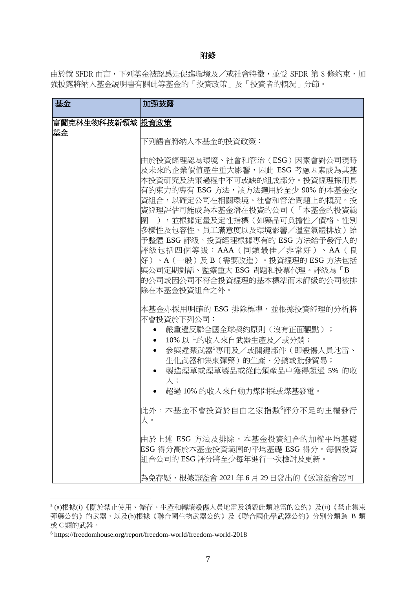#### 附錄

由於就 SFDR 而言,下列基金被認爲是促進環境及/或社會特徵,並受 SFDR 第 8 條約束,加 強披露將納入基金説明書有關此等基金的「投資政策」及「投資者的概況」分節。

| 基金                     | 加强披露                                                                                                                                                                                                                                                                                                                                                                                                                                                              |
|------------------------|-------------------------------------------------------------------------------------------------------------------------------------------------------------------------------------------------------------------------------------------------------------------------------------------------------------------------------------------------------------------------------------------------------------------------------------------------------------------|
| 富蘭克林生物科技新領域 股資政策<br>基金 |                                                                                                                                                                                                                                                                                                                                                                                                                                                                   |
|                        | 下列語言將納入本基金的投資政策:                                                                                                                                                                                                                                                                                                                                                                                                                                                  |
|                        | 由於投資經理認為環境、社會和管治(ESG)因素會對公司現時<br>及未來的企業價值產生重大影響,因此 ESG 考慮因素成為其基<br>本投資研究及決策過程中不可或缺的組成部分。投資經理採用具<br>有約束力的專有 ESG 方法,該方法適用於至少 90% 的本基金投<br>資組合,以確定公司在相關環境、社會和管治問題上的概況。投<br>資經理評估可能成為本基金潛在投資的公司(「本基金的投資範<br>圍」),並根據定量及定性指標(如藥品可負擔性/價格、性別<br>多樣性及包容性、員工滿意度以及環境影響/溫室氣體排放)給<br>予整體 ESG 評級。投資經理根據專有的 ESG 方法給予發行人的<br>評級包括四個等級:AAA(同類最佳/非常好)、AA(良<br>好)、A(一般)及 B(需要改進)。投資經理的 ESG 方法包括<br> 與公司定期對話、監察重大 ESG 問題和投票代理。評級為「B 」<br>的公司或因公司不符合投資經理的基本標準而未評級的公司被排<br>除在本基金投資組合之外。 |
|                        | 本基金亦採用明確的 ESG 排除標準,並根據投資經理的分析將<br>不會投資於下列公司:<br> 嚴重違反聯合國全球契約原則(沒有正面觀點);<br>10%以上的收入來自武器生產及/或分銷;<br>參與違禁武器'專用及/或關鍵部件(即殺傷人員地雷、<br>生化武器和集束彈藥)的生產、分銷或批發貿易;<br>製造煙草或煙草製品或從此類產品中獲得超過 5% 的收<br>入 ;<br>超過 10% 的收入來自動力煤開採或煤基發電。                                                                                                                                                                                                                                            |
|                        | 此外,本基金不會投資於自由之家指數'評分不足的主權發行<br>人。                                                                                                                                                                                                                                                                                                                                                                                                                                 |
|                        | 由於上述 ESG 方法及排除,本基金投資組合的加權平均基礎<br>ESG 得分高於本基金投資範圍的平均基礎 ESG 得分。每個投資<br>組合公司的 ESG 評分將至少每年進行一次檢討及更新。                                                                                                                                                                                                                                                                                                                                                                  |
|                        | 為免存疑,根據證監會 2021年6月29日發出的《致證監會認可                                                                                                                                                                                                                                                                                                                                                                                                                                   |

<sup>5</sup> (a)根據(i)《關於禁止使用、儲存、生產和轉讓殺傷人員地雷及銷毀此類地雷的公約》及(ii)《禁止集束 彈藥公約》的武器,以及(b)根據《聯合國生物武器公約》及《聯合國化學武器公約》分別分類為 B 類 或 C 類的武器。

 $^{\rm 6}$ https://freedomhouse.org/report/freedom-world/freedom-world-2018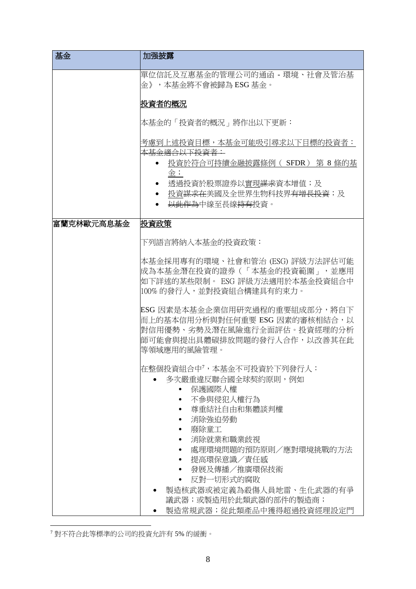| 基金         | 加强披露                                                                                                                                                                                                                                                                           |
|------------|--------------------------------------------------------------------------------------------------------------------------------------------------------------------------------------------------------------------------------------------------------------------------------|
|            | 單位信託及互惠基金的管理公司的通函 - 環境、社會及管治基<br>金》,本基金將不會被歸為 ESG 基金。                                                                                                                                                                                                                          |
|            | 投資者的概況                                                                                                                                                                                                                                                                         |
|            | 本基金的「投資者的概況」將作出以下更新:                                                                                                                                                                                                                                                           |
|            | 考慮到上述投資目標,本基金可能吸引尋求以下目標的投資者:<br>本基金適合以下投資者:<br>投資於符合可持續金融披露條例( SFDR ) 第 8 條的基<br>金;<br>透過投資於股票證券以實現 <del>謀求</del> 資本增值;及<br>投資 <del>謀求在</del> 美國及全世界生物科技界 <del>有增長投資</del> ;及<br><del>以此作為</del> 中線至長線 <del>持有</del> 投資。                                                       |
| 富蘭克林歐元高息基金 | 投資政策                                                                                                                                                                                                                                                                           |
|            | 下列語言將納入本基金的投資政策:                                                                                                                                                                                                                                                               |
|            | 本基金採用專有的環境、社會和管治 (ESG) 評級方法評估可能<br> 成為本基金潛在投資的證券(「本基金的投資範圍」,並應用<br>如下詳述的某些限制。 ESG 評級方法適用於本基金投資組合中<br> 100% 的發行人,並對投資組合構建具有約束力。                                                                                                                                                 |
|            | ESG 因素是本基金企業信用研究過程的重要組成部分,將自下<br>而上的基本信用分析與對任何重要 ESG 因素的審核相結合,以<br>對信用優勢、劣勢及潛在風險進行全面評估。投資經理的分析<br>師可能會與提出具體碳排放問題的發行人合作,以改善其在此<br>等領域應用的風險管理。                                                                                                                                   |
|            | 在整個投資組合中',本基金不可投資於下列發行人:<br>多次嚴重違反聯合國全球契約原則,例如<br>保護國際人權<br>不參與侵犯人權行為<br>尊重結社自由和集體談判權<br>消除強迫勞動<br>廢除童工<br>消除就業和職業歧視<br>處理環境問題的預防原則/應對環境挑戰的方法<br>提高環保意識/責任感<br>發展及傳播/推廣環保技術<br>反對一切形式的腐敗<br>製造核武器或被定義為殺傷人員地雷、生化武器的有爭<br>議武器;或製造用於此類武器的部件的製造商;<br>製造常規武器;從此類產品中獲得超過投資經理設定門<br>٠ |

<sup>7</sup> 對不符合此等標準的公司的投資允許有 5% 的緩衝。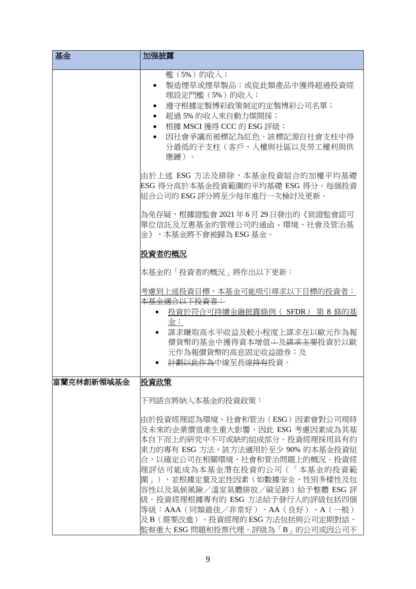| 基金         | 加强披露                                                                                                                                                                                                                                                                                                                                                                                                                                |
|------------|-------------------------------------------------------------------------------------------------------------------------------------------------------------------------------------------------------------------------------------------------------------------------------------------------------------------------------------------------------------------------------------------------------------------------------------|
|            | <b>檻</b> (5%) 的收入;<br>製造煙草或煙草製品;或從此類產品中獲得超過投資經<br>理設定門檻(5%)的收入;<br>遵守根據定製博彩政策制定的定製博彩公司名單;<br>超過5%的收入來自動力煤開採;<br>根據 MSCI 獲得 CCC 的 ESG 評級;<br>$\bullet$<br>因社會爭議而被標記為紅色。該標記源自社會支柱中得<br>$\bullet$<br>分最低的子支柱(客戶、人權與社區以及勞工權利與供<br>應鏈)。                                                                                                                                                                                                  |
|            | 由於上述 ESG 方法及排除,本基金投資組合的加權平均基礎<br>ESG 得分高於本基金投資範圍的平均基礎 ESG 得分。每個投資<br>組合公司的 ESG 評分將至少每年進行一次檢討及更新。                                                                                                                                                                                                                                                                                                                                    |
|            | 為免存疑,根據證監會 2021年6月29日發出的《致證監會認可<br>單位信託及互惠基金的管理公司的通函 - 環境、社會及管治基<br>金》,本基金將不會被歸為 ESG 基金。                                                                                                                                                                                                                                                                                                                                            |
|            | 投資者的概況                                                                                                                                                                                                                                                                                                                                                                                                                              |
|            | 本基金的「投資者的概況」將作出以下更新:                                                                                                                                                                                                                                                                                                                                                                                                                |
|            | 考慮到上述投資目標,本基金可能吸引尋求以下目標的投資者:<br>本基金適合以下投資者:<br>投資於符合可持續金融披露條例( SFDR ) 第 8 條的基<br>金;<br>謀求賺取高水平收益及較小程度上謀求在以歐元作為報<br>$\bullet$<br>價貨幣的基金中獲得資本增值 <del>:</del> 及 <del>謀求主要</del> 投資於以歐<br>元作為報價貨幣的高息固定收益證券;及<br><del>計劃以此作為</del> 中線至長線 <del>持有</del> 投資。                                                                                                                                                                               |
| 富蘭克林創新領域基金 | 投資政策                                                                                                                                                                                                                                                                                                                                                                                                                                |
|            | 下列語言將納入本基金的投資政策:<br>由於投資經理認為環境、社會和管治(ESG)因素會對公司現時<br>及未來的企業價值產生重大影響,因此 ESG 考慮因素成為其基<br>本自下而上的研究中不可或缺的組成部分。投資經理採用具有約<br>東力的專有 ESG 方法,該方法適用於至少 90% 的本基金投資組<br>合,以確定公司在相關環境、社會和管治問題上的概況。投資經<br>理評估可能成為本基金潛在投資的公司(「本基金的投資範<br>圍 」),並根據定量及定性因素(如數據安全、性別多樣性及包<br> 容性以及氣候風險/溫室氣體排放/碳足跡)給予整體 ESG 評<br>級。投資經理根據專有的 ESG 方法給予發行人的評級包括四個<br>等級:AAA(同類最佳/非常好)、AA(良好)、A(一般)<br>及B(需要改進)。投資經理的 ESG 方法包括與公司定期對話、<br>監察重大 ESG 問題和投票代理。評級為「B」的公司或因公司不 |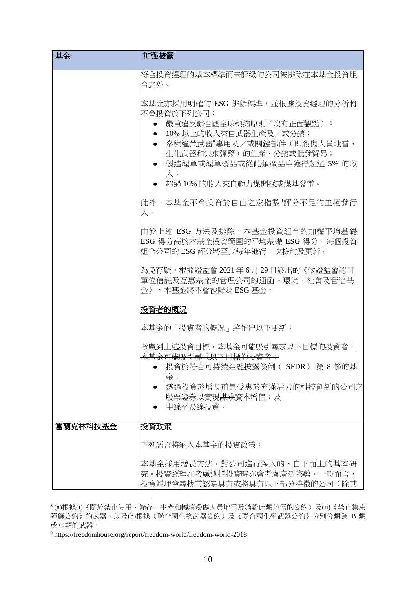| 基金       | 加强披露                                                                                                                                                                                                                               |
|----------|------------------------------------------------------------------------------------------------------------------------------------------------------------------------------------------------------------------------------------|
|          | 符合投資經理的基本標準而未評級的公司被排除在本基金投資組<br>合之外。                                                                                                                                                                                               |
|          | 本基金亦採用明確的 ESG 排除標準,並根據投資經理的分析將<br>不會投資於下列公司:<br>嚴重違反聯合國全球契約原則 (沒有正面觀點);<br>10%以上的收入來自武器生產及/或分銷;<br>參與違禁武器 <sup>8</sup> 專用及/或關鍵部件(即殺傷人員地雷、<br>生化武器和集束彈藥)的生產、分銷或批發貿易;<br>製造煙草或煙草製品或從此類產品中獲得超過 5% 的收<br>入;<br>超過 10% 的收入來自動力煤開採或煤基發電。 |
|          | 此外,本基金不會投資於自由之家指數°評分不足的主權發行<br>人。                                                                                                                                                                                                  |
|          | 由於上述 ESG 方法及排除,本基金投資組合的加權平均基礎<br>ESG 得分高於本基金投資範圍的平均基礎 ESG 得分。每個投資<br>組合公司的 ESG 評分將至少每年進行一次檢討及更新。                                                                                                                                   |
|          | 為免存疑,根據證監會 2021 年 6 月 29 日發出的《致證監會認可<br> 單位信託及互惠基金的管理公司的通函 - 環境、社會及管治基 <br>金》,本基金將不會被歸為 ESG 基金。                                                                                                                                    |
|          | 投資者的概況                                                                                                                                                                                                                             |
|          | 本基金的「投資者的概況」將作出以下更新:                                                                                                                                                                                                               |
|          | 考慮到上述投資目標,本基金可能吸引尋求以下目標的投資者:<br>本基金可能吸引尋求以下日標的投資者:<br>投資於符合可持續金融披露條例 ( SFDR ) 第 8 條的基<br>金;<br>透過投資於增長前景受惠於充滿活力的科技創新的公司之<br>股票證券以實現 <del>謀求</del> 資本增值;及<br>中線至長線投資。                                                               |
| 富蘭克林科技基金 | 投資政策                                                                                                                                                                                                                               |
|          | 下列語言將納入本基金的投資政策:                                                                                                                                                                                                                   |
|          | 本基金採用增長方法,對公司進行深入的、自下而上的基本研<br>究。投資經理在考慮選擇投資時亦會考慮廣泛趨勢。一般而言,<br>投資經理會尋找其認為具有或將具有以下部分特徵的公司(除其                                                                                                                                        |

<sup>8</sup> (a)根據(i)《關於禁止使用、儲存、生產和轉讓殺傷人員地雷及銷毀此類地雷的公約》及(ii)《禁止集束 彈藥公約》的武器,以及(b)根據《聯合國生物武器公約》及《聯合國化學武器公約》分別分類為 B 類 或 C 類的武器。

<sup>9</sup> https://freedomhouse.org/report/freedom-world/freedom-world-2018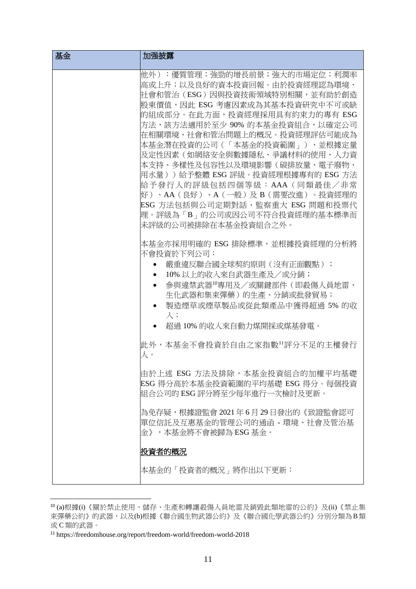| 基金 | 加强披露                                                                                                                                                                                                                                                                                                                                                                                                                                                                                                                                     |
|----|------------------------------------------------------------------------------------------------------------------------------------------------------------------------------------------------------------------------------------------------------------------------------------------------------------------------------------------------------------------------------------------------------------------------------------------------------------------------------------------------------------------------------------------|
|    | 他外):優質管理;強勁的增長前景;強大的市場定位;利潤率<br>高或上升;以及良好的資本投資回報。由於投資經理認為環境、<br>社會和管治(ESG)因與投資技術領域特別相關,並有助於創造<br>股東價值,因此 ESG 考慮因素成為其基本投資研究中不可或缺<br>的組成部分。在此方面,投資經理採用具有約束力的專有 ESG<br>方法,該方法適用於至少 90% 的本基金投資組合,以確定公司<br>在相關環境、社會和管治問題上的概況。投資經理評估可能成為<br>本基金潛在投資的公司(「本基金的投資範圍」),並根據定量<br>及定性因素(如網絡安全與數據隱私、爭議材料的使用、人力資<br>本支持、多樣性及包容性以及環境影響(碳排放量、電子廢物、<br> 用水量))給予整體 ESG 評級。投資經理根據專有的 ESG 方法<br>給予發行人的評級包括四個等級:AAA(同類最佳/非常<br>好 )、AA(良好 )、A(一般 )及 B(需要改進 )。投資經理的<br>ESG 方法包括與公司定期對話、監察重大 ESG 問題和投票代<br>理。評級為「B」的公司或因公司不符合投資經理的基本標準而<br> 未評級的公司被排除在本基金投資組合之外。 |
|    | 本基金亦採用明確的 ESG 排除標準,並根據投資經理的分析將<br>不會投資於下列公司:<br>嚴重違反聯合國全球契約原則(沒有正面觀點);<br>10% 以上的收入來自武器生產及/或分銷;<br>參與違禁武器"粵用及/或關鍵部件(即殺傷人員地雷、<br>$\bullet$<br>牛化武器和集束彈藥)的生產、分銷或批發貿易;<br>製造煙草或煙草製品或從此類產品中獲得超過 5% 的收<br>$\lambda$ ;<br>超過 10% 的收入來自動力煤開採或煤基發電。<br>此外,本基金不會投資於自由之家指數"評分不足的主權發行                                                                                                                                                                                                                                                               |
|    | 人。<br>由於上述 ESG 方法及排除,本基金投資組合的加權平均基礎<br>ESG 得分高於本基金投資範圍的平均基礎 ESG 得分。每個投資<br>組合公司的 ESG 評分將至少每年進行一次檢討及更新。<br>為免存疑,根據證監會 2021 年 6 月 29 日發出的《致證監會認可<br> 單位信託及互惠基金的管理公司的通函 - 環境、社會及管治基 <br>金》,本基金將不會被歸為 ESG 基金。                                                                                                                                                                                                                                                                                                                                |
|    | 投資者的概況<br>本基金的「投資者的概況」將作出以下更新:                                                                                                                                                                                                                                                                                                                                                                                                                                                                                                           |

<sup>10</sup> (a)根據(i)《關於禁止使用、儲存、生產和轉讓殺傷人員地雷及銷毀此類地雷的公約》及(ii)《禁止集 束彈藥公約》的武器,以及(b)根據《聯合國生物武器公約》及《聯合國化學武器公約》分別分類為B類 或 C 類的武器。

 $^{\rm 11}$ https://freedomhouse.org/report/freedom-world/freedom-world-2018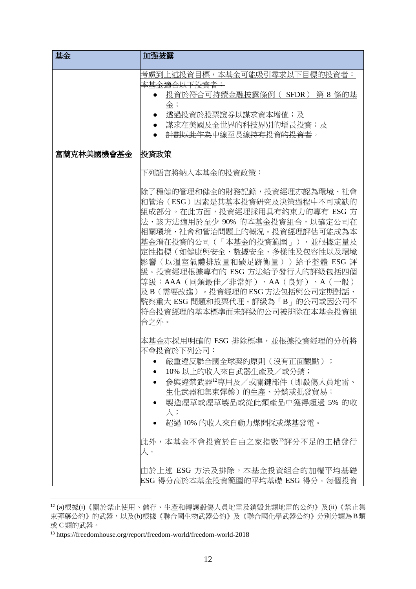| 基金         | 加强披露                                                                                                                                                                                                                                                                                                                                                                                                                                                                                                                                                                                                                                                                                                               |
|------------|--------------------------------------------------------------------------------------------------------------------------------------------------------------------------------------------------------------------------------------------------------------------------------------------------------------------------------------------------------------------------------------------------------------------------------------------------------------------------------------------------------------------------------------------------------------------------------------------------------------------------------------------------------------------------------------------------------------------|
|            | 考慮到上述投資目標,本基金可能吸引尋求以下目標的投資者:<br><del>本基金適合以下投資者:</del><br>投資於符合可持續金融披露條例( SFDR ) 第 8 條的基<br>金;<br>透過投資於股票證券以謀求資本增值;及<br>謀求在美國及全世界的科技界別的增長投資;及<br><del>計劃以此作為</del> 中線至長線 <del>持有</del> 投資 <del>的投資者</del> 。                                                                                                                                                                                                                                                                                                                                                                                                                                                                                                        |
| 富蘭克林美國機會基金 | 投資政策<br>下列語言將納入本基金的投資政策:<br>除了穩健的管理和健全的財務記錄,投資經理亦認為環境、社會<br>和管治(ESG)因素是其基本投資研究及決策過程中不可或缺的<br>組成部分。在此方面,投資經理採用具有約束力的專有 ESG 方<br>法,該方法適用於至少 90% 的本基金投資組合,以確定公司在<br>相關環境、社會和管治問題上的概況。投資經理評估可能成為本<br>基金潛在投資的公司(「本基金的投資範圍」),並根據定量及<br>定性指標(如健康與安全、數據安全、多樣性及包容性以及環境<br>影響(以溫室氣體排放量和碳足跡衡量))給予整體 ESG 評<br>級。投資經理根據專有的 ESG 方法給予發行人的評級包括四個<br>等級:AAA(同類最佳/非常好)、AA(良好)、A(一般)<br>及B(需要改進)。投資經理的 ESG 方法包括與公司定期對話、<br>監察重大 ESG 問題和投票代理。評級為「B」的公司或因公司不<br>符合投資經理的基本標準而未評級的公司被排除在本基金投資組<br>合之外。<br>本基金亦採用明確的 ESG 排除標準,並根據投資經理的分析將<br>不會投資於下列公司:<br>嚴重違反聯合國全球契約原則 (沒有正面觀點);<br>10%以上的收入來自武器生產及/或分銷;<br>參與違禁武器12專用及/或關鍵部件(即殺傷人員地雷、<br>生化武器和集束彈藥)的生產、分銷或批發貿易;<br>製造煙草或煙草製品或從此類產品中獲得超過 5% 的收<br>$\lambda$ ;<br>超過 10% 的收入來自動力煤開採或煤基發電。 |
|            | 此外,本基金不會投資於自由之家指數13評分不足的主權發行<br>人。<br>由於上述 ESG 方法及排除,本基金投資組合的加權平均基礎<br>ESG 得分高於本基金投資範圍的平均基礎 ESG 得分。每個投資                                                                                                                                                                                                                                                                                                                                                                                                                                                                                                                                                                                                            |

<sup>12</sup> (a)根據(i)《關於禁止使用、儲存、生產和轉讓殺傷人員地雷及銷毀此類地雷的公約》及(ii)《禁止集 束彈藥公約》的武器,以及(b)根據《聯合國生物武器公約》及《聯合國化學武器公約》分別分類為B類 或 C 類的武器。

<sup>13</sup> https://freedomhouse.org/report/freedom-world/freedom-world-2018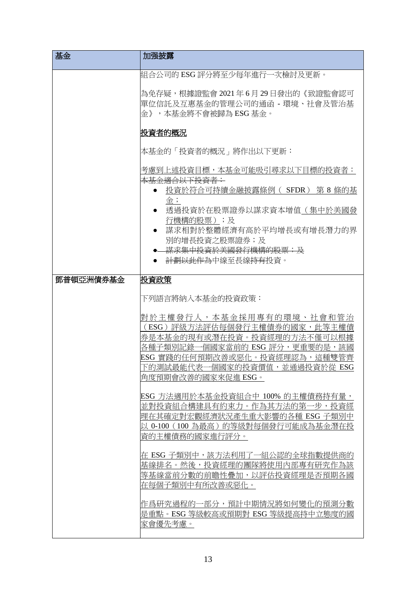| 基金        | 加强披露                                                                                                                                                                                                                  |
|-----------|-----------------------------------------------------------------------------------------------------------------------------------------------------------------------------------------------------------------------|
|           | 組合公司的 ESG 評分將至少每年進行一次檢討及更新。                                                                                                                                                                                           |
|           | 為免存疑,根據證監會 2021年6月 29日發出的《致證監會認可<br> 單位信託及互惠基金的管理公司的通函 - 環境、社會及管治基<br>金》,本基金將不會被歸為 ESG 基金。                                                                                                                            |
|           | 投資者的概況                                                                                                                                                                                                                |
|           | 本基金的「投資者的概況」將作出以下更新:                                                                                                                                                                                                  |
|           | 考慮到上述投資目標,本基金可能吸引尋求以下目標的投資者:<br><del>本基金適合以下投資者:</del>                                                                                                                                                                |
|           | 投資於符合可持續金融披露條例( SFDR ) 第 8 條的基<br>金;                                                                                                                                                                                  |
|           | 透過投資於在股票證券以謀求資本增值(集中於美國發<br>行機構的股票);及                                                                                                                                                                                 |
|           | 謀求相對於整體經濟有高於平均增長或有增長潛力的界                                                                                                                                                                                              |
|           | 別的增長投資之股票證券;及<br><del>謀求集中投資於美國發行機構的股票; 及</del>                                                                                                                                                                       |
|           | 計劃以此作為中線至長線持有投資。                                                                                                                                                                                                      |
| 鄧普頓亞洲債券基金 | 投資政策                                                                                                                                                                                                                  |
|           | 下列語言將納入本基金的投資政策:                                                                                                                                                                                                      |
|           | 對於主權發行人,本基金採用專有的環境、社會和管治<br>(ESG)評級方法評估每個發行主權債券的國家,此等主權債<br>券是本基金的現有或潛在投資。投資經理的方法不僅可以根據<br>個國家當前的 ESG 評分,更重要的是,該國<br>各種子類別記錄<br>ESG 實踐的任何預期改善或惡化。投資經理認為,這種雙管齊<br>下的測試最能代表一個國家的投資價值,並通過投資於從 ESG<br> 角度預期會改善的國家來促進 ESG。 |
|           | ESG 方法適用於本基金投資組合中 100% 的主權債務持有量,<br>並對投資組合構建具有約束力。作為其方法的第一步,投資經<br>理在其確定對宏觀經濟狀況產生重大影響的各種 ESG 子類別中<br> 以 0-100(100 為最高)的等級對每個發行可能成為基金潛在投<br>資的主權債務的國家進行評分。                                                             |
|           | 在 ESG 子類別中,該方法利用了一組公認的全球指數提供商的 <br>基線排名。然後,投資經理的團隊將使用內部專有研究作為該<br>等基線當前分數的前瞻性疊加,以評估投資經理是否預期各國<br>在每個子類別中有所改善或惡化。                                                                                                      |
|           | 作爲研究過程的一部分,預計中期情況將如何變化的預測分數<br>是重點。ESG 等級較高或預期對 ESG 等級提高持中立熊度的國<br>家會優先考慮。                                                                                                                                            |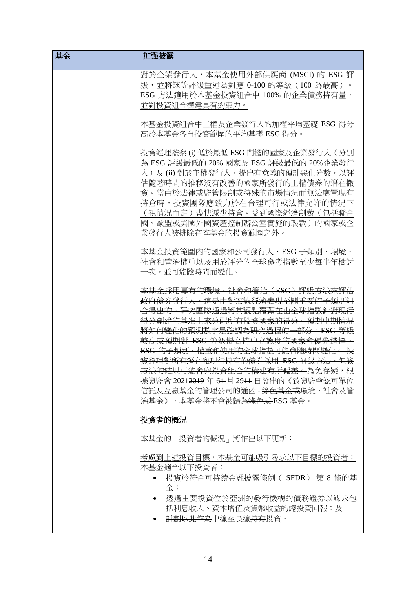| 基金 | 加强披露                                                                                                                                                                                                                                                                                                                                                                                                                                                                                                                                    |
|----|-----------------------------------------------------------------------------------------------------------------------------------------------------------------------------------------------------------------------------------------------------------------------------------------------------------------------------------------------------------------------------------------------------------------------------------------------------------------------------------------------------------------------------------------|
|    | 對於企業發行人,本基金使用外部供應商 (MSCI) 的 ESG 評<br>級,並將該等評級重述為對應 0-100 的等級(100 為最高)<br>ESG 方法適用於本基金投資組合中 100% 的企業債務持有量,<br>並對投資組合構建具有約束力。                                                                                                                                                                                                                                                                                                                                                                                                             |
|    | 本基金投資組合中主權及企業發行人的加權平均基礎 ESG 得分<br>高於本基金各自投資範圍的平均基礎 ESG 得分。                                                                                                                                                                                                                                                                                                                                                                                                                                                                              |
|    | 投資經理監察 ⑴ 低於最低 ESG 門檻的國家及企業發行人 ( 分別<br>為 ESG 評級最低的 20% 國家及 ESG 評級最低的 20%企業發行<br>及 (ii) 對於主權發行人,提出有意義的預計惡化分數,以評<br>估隨荖時間的推移沒有改善的國家所發<br>市的主權 債券的 潛在撤<br>資。當由於法律或監管限制或特殊的市場情況而無法處置現有<br>持倉時,投資團隊應致力於在合理可行或法律允許的<br>- 盡快減少持倉。受到國際經濟制裁(包括聯合<br>「視情況而定 )<br>國、歐盟或美國外國資產控制辦公室實施的製裁)的國家或企<br>業發行人被排除在本基金的投資範圍之外。                                                                                                                                                                                                                                |
|    | 本基金投資範圍內的國家和公司發行人、ESG 子類別、環境、<br>社會和管治權重以及用於評分的全球參考指數至少每半年檢討<br>·次,並可能隨時間而變化。                                                                                                                                                                                                                                                                                                                                                                                                                                                           |
|    | <del>基金採用專有的環境、社會和管治(ESG)評級方法來評</del><br><del>這是由對宏觀經濟表現至關重要的子類別組</del><br>合得出的。研究團隊通過將其觀點覆蓋在由全球指數針對現行<br><del>上來分配所有投資國家的得分</del><br>←預期中期情況<br>將如何變化的預測數字是強調為研究過程的-<br>一部分<br>$-ESG$<br><del>較高或預期對 ESG 等級提高持中立態度的國家會優先選擇</del><br><u>、權重和使用的全球指數可能會隨時間變化。</u><br><del>的子類別</del><br><del>資經理對所有潛在和現行持有的債券採用 ESG 評級方法,但該</del><br><del>方法的結果可能會與投資組合的構建有所偏差。</del> 為免存疑,根<br>據證監會 2 <u>021</u> 2019 年 <u>6</u> 4 月 2 <u>9</u> 11 日發出的《致證監會認可單位<br>信託及互惠基金的管理公司的通函 - <del>綠色基金或</del> 環境、社會及管<br>治基金》,本基金將不會被歸為 <del>綠色或</del> ESG 基金。 |
|    | 投資者的概況                                                                                                                                                                                                                                                                                                                                                                                                                                                                                                                                  |
|    | 本基金的「投資者的概況」將作出以下更新:                                                                                                                                                                                                                                                                                                                                                                                                                                                                                                                    |
|    | 考慮到上述投資目標,本基金可能吸引尋求以下目標的投資者:<br><del>本基金適合以下投資者:</del><br>投資於符合可持續金融披露條例( SFDR) 第 8 條的基<br>金;<br>透過主要投資位於亞洲的發行機構的債務證券以謀求包<br>括利息收入、資本增值及貨幣收益的總投資回報;及<br><del>計劃以此作為</del> 中線至長線 <del>持有</del> 投資。                                                                                                                                                                                                                                                                                                                                       |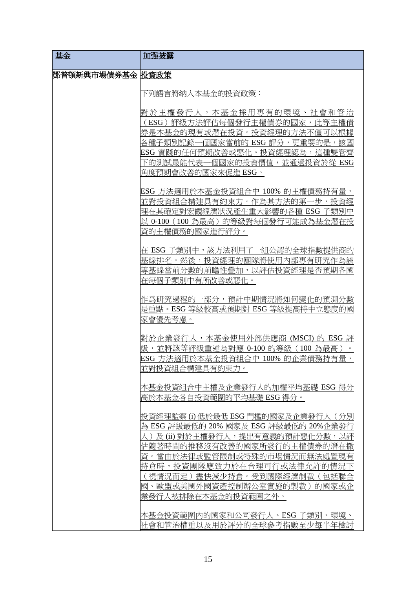| 基金                | 加强披露                                                                                                                                                                                                                                                                                                 |
|-------------------|------------------------------------------------------------------------------------------------------------------------------------------------------------------------------------------------------------------------------------------------------------------------------------------------------|
| 鄧普頓新興市場債券基金  投資政策 |                                                                                                                                                                                                                                                                                                      |
|                   | 下列語言將納入本基金的投資政策:                                                                                                                                                                                                                                                                                     |
|                   | 對於主權發行人,本基金採用專有的環境、社會和管治<br>(ESG)評級方法評估每個發行主權債券的國家,此等主權債                                                                                                                                                                                                                                             |
|                   | 券是本基金的現有或潛在投資。投資經理的方法不僅可以根據<br>各種子類別記錄一個國家當前的 ESG 評分,更重要的是,該國<br>ESG 實踐的任何預期改善或惡化。投資經理認為,這種雙管齊<br>下的測試最能代表一個國家的投資價值,並通過投資於從 ESG<br> 角度預期會改善的國家來促進 ESG。                                                                                                                                               |
|                   | ESG 方法適用於本基金投資組合中 100% 的主權債務持有量,<br>並對投資組合構建具有約束力。作為其方法的第一步,投資經<br>理在其確定對宏觀經濟狀況產生重大影響的各種 ESG 子類別中<br>以 0-100 (100 為最高) 的等級對每個發行可能成為基金潛在投<br>資的主權債務的國家進行評分。                                                                                                                                           |
|                   | 在 ESG 子類別中,該方法利用了一組公認的全球指數提供商的<br>基線排名。然後,投資經理的團隊將使用內部專有研究作為該<br>等基線當前分數的前瞻性疊加,以評估投資經理是否預期各國<br>在每個子類別中有所改善或惡化。                                                                                                                                                                                      |
|                   | 作爲研究過程的一部分,預計中期情況將如何變化的預測分數<br>是重點。ESG 等級較高或預期對 ESG 等級提高持中立熊度的國<br>家會優先考慮。                                                                                                                                                                                                                           |
|                   | 對於企業發行人,本基金使用外部供應商 (MSCI) 的 ESG 評<br>級,並將該等評級重述為對應 0-100 的等級(100 為最高)<br>ESG 方法適用於本基金投資組合中 100% 的企業債務持有量,<br>並對投資組合構建具有約束力。                                                                                                                                                                          |
|                   | 本基金投資組合中主權及企業發行人的加權平均基礎 ESG 得分<br>高於本基金各自投資範圍的平均基礎 ESG 得分。                                                                                                                                                                                                                                           |
|                   | 投資經理監察 ⑴ 低於最低 ESG 門檻的國家及企業發行人 ( 分別<br>為 ESG 評級最低的 20% 國家及 ESG 評級最低的 20%企業發行<br>人 )及 (ii) 對於主權發行人,提出有意義的預計惡化分數,以評<br>估隨著時間的推移沒有改善的國家所發行的主權債券的潛在撤<br>資。當由於法律或監管限制或特殊的市場情況而無法處置現有<br>持倉時,投資團隊應致力於在合理可行或法律允許的情況<br>「視情況而定 ) 盡快減少持倉。 受到國際經濟制裁( 包括聯合<br>國、歐盟或美國外國資產控制辦公室實施的製裁)的國家或企<br>業發行人被排除在本基金的投資範圍之外。 |
|                   | 本基金投資範圍內的國家和公司發行人、ESG 子類別、環境、<br>社會和管治權重以及用於評分的全球參考指數至少每半年檢討                                                                                                                                                                                                                                         |